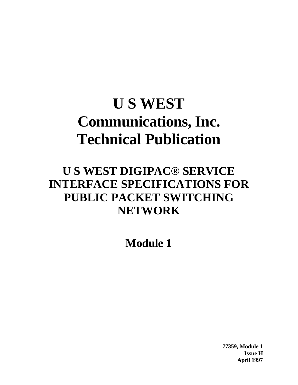# **U S WEST Communications, Inc. Technical Publication**

## **U S WEST DIGIPAC® SERVICE INTERFACE SPECIFICATIONS FOR PUBLIC PACKET SWITCHING NETWORK**

**Module 1**

**77359, Module 1 Issue H April 1997**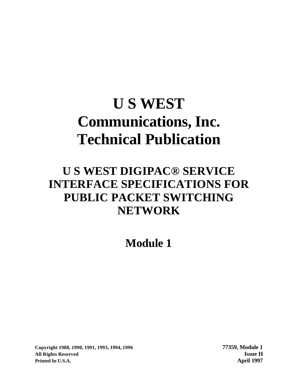# **U S WEST Communications, Inc. Technical Publication**

## **U S WEST DIGIPAC® SERVICE INTERFACE SPECIFICATIONS FOR PUBLIC PACKET SWITCHING NETWORK**

**Module 1**

**Copyright 1988, 1990, 1991, 1993, 1994, 1996 77359, Module 1 All Rights Reserved Issue H Printed In U.S.A. April 1997**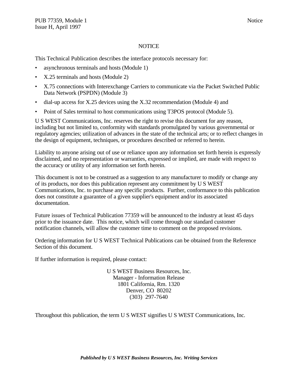#### **NOTICE**

This Technical Publication describes the interface protocols necessary for:

- asynchronous terminals and hosts (Module 1)
- X.25 terminals and hosts (Module 2)
- X.75 connections with Interexchange Carriers to communicate via the Packet Switched Public Data Network (PSPDN) (Module 3)
- dial-up access for X.25 devices using the X.32 recommendation (Module 4) and
- Point of Sales terminal to host communications using T3POS protocol (Module 5).

U S WEST Communications, Inc. reserves the right to revise this document for any reason, including but not limited to, conformity with standards promulgated by various governmental or regulatory agencies; utilization of advances in the state of the technical arts; or to reflect changes in the design of equipment, techniques, or procedures described or referred to herein.

Liability to anyone arising out of use or reliance upon any information set forth herein is expressly disclaimed, and no representation or warranties, expressed or implied, are made with respect to the accuracy or utility of any information set forth herein.

This document is not to be construed as a suggestion to any manufacturer to modify or change any of its products, nor does this publication represent any commitment by U S WEST Communications, Inc. to purchase any specific products. Further, conformance to this publication does not constitute a guarantee of a given supplier's equipment and/or its associated documentation.

Future issues of Technical Publication 77359 will be announced to the industry at least 45 days prior to the issuance date. This notice, which will come through our standard customer notification channels, will allow the customer time to comment on the proposed revisions.

Ordering information for U S WEST Technical Publications can be obtained from the Reference Section of this document.

If further information is required, please contact:

U S WEST Business Resources, Inc. Manager - Information Release 1801 California, Rm. 1320 Denver, CO 80202 (303) 297-7640

Throughout this publication, the term U S WEST signifies U S WEST Communications, Inc.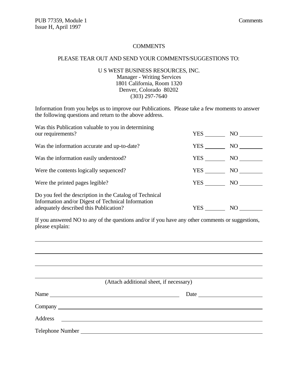#### **COMMENTS**

#### PLEASE TEAR OUT AND SEND YOUR COMMENTS/SUGGESTIONS TO:

#### U S WEST BUSINESS RESOURCES, INC. Manager - Writing Services 1801 California, Room 1320 Denver, Colorado 80202 (303) 297-7640

Information from you helps us to improve our Publications. Please take a few moments to answer the following questions and return to the above address.

| Was this Publication valuable to you in determining<br>our requirements?                                                                                | YES | NO  |
|---------------------------------------------------------------------------------------------------------------------------------------------------------|-----|-----|
| Was the information accurate and up-to-date?                                                                                                            | YES | NO  |
| Was the information easily understood?                                                                                                                  | YES | NO  |
| Were the contents logically sequenced?                                                                                                                  | YES | NO. |
| Were the printed pages legible?                                                                                                                         | YES | NO  |
| Do you feel the description in the Catalog of Technical<br>Information and/or Digest of Technical Information<br>adequately described this Publication? | YES | NO  |

If you answered NO to any of the questions and/or if you have any other comments or suggestions, please explain:

| (Attach additional sheet, if necessary)                                                                                        |      |
|--------------------------------------------------------------------------------------------------------------------------------|------|
|                                                                                                                                | Date |
|                                                                                                                                |      |
| Address<br><u> 1980 - Andrea Albert III, politik eta politik eta politik eta politik eta politik eta politik eta politik e</u> |      |
|                                                                                                                                |      |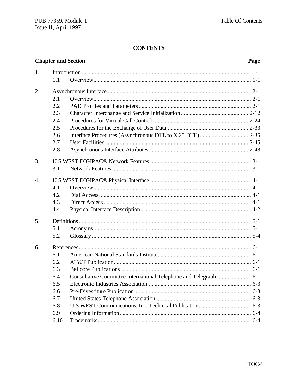#### **CONTENTS**

| <b>Chapter and Section</b> |  |  |  |  |  |
|----------------------------|--|--|--|--|--|
|                            |  |  |  |  |  |
|                            |  |  |  |  |  |

#### Page

| 1.               |      |  |
|------------------|------|--|
|                  | 1.1  |  |
| 2.               |      |  |
|                  | 2.1  |  |
|                  | 2.2  |  |
|                  | 2.3  |  |
|                  | 2.4  |  |
|                  | 2.5  |  |
|                  | 2.6  |  |
|                  | 2.7  |  |
|                  | 2.8  |  |
| 3.               |      |  |
|                  | 3.1  |  |
| $\overline{4}$ . |      |  |
|                  | 4.1  |  |
|                  | 4.2  |  |
|                  | 4.3  |  |
|                  | 4.4  |  |
| 5.               |      |  |
|                  | 5.1  |  |
|                  | 5.2  |  |
| 6.               |      |  |
|                  | 6.1  |  |
|                  | 6.2  |  |
|                  | 6.3  |  |
|                  | 6.4  |  |
|                  | 6.5  |  |
|                  | 6.6  |  |
|                  | 6.7  |  |
|                  | 6.8  |  |
|                  | 6.9  |  |
|                  | 6.10 |  |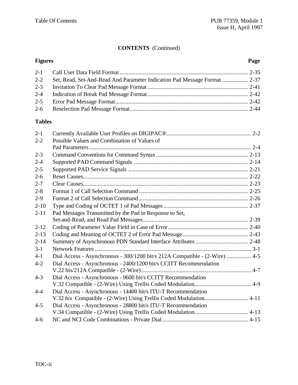#### **CONTENTS** (Continued)

#### **Figures Page**

| $2 - 2$ |  |
|---------|--|
|         |  |
|         |  |
|         |  |
|         |  |

#### **Tables**

| $2 - 1$  |                                                                             |
|----------|-----------------------------------------------------------------------------|
| $2 - 2$  | Possible Values and Combination of Values of                                |
|          |                                                                             |
| $2 - 3$  |                                                                             |
| $2 - 4$  |                                                                             |
| $2 - 5$  |                                                                             |
| $2 - 6$  |                                                                             |
| $2 - 7$  |                                                                             |
| $2 - 8$  |                                                                             |
| $2 - 9$  |                                                                             |
| $2 - 10$ |                                                                             |
| $2 - 11$ | Pad Messages Transmitted by the Pad in Response to Set,                     |
|          |                                                                             |
| $2 - 12$ |                                                                             |
| $2 - 13$ |                                                                             |
| $2 - 14$ |                                                                             |
| $3 - 1$  |                                                                             |
| $4 - 1$  | Dial Access - Asynchronous - 300/1200 bit/s 212A Compatible - (2-Wire)  4-5 |
| $4 - 2$  | Dial Access - Asynchronous - 2400/1200 bit/s CCITT Recommendation           |
|          |                                                                             |
| $4 - 3$  | Dial Access - Asynchronous - 9600 bit/s CCITT Recommendation                |
|          |                                                                             |
| $4 - 4$  | Dial Access - Asynchronous - 14400 bit/s ITU-T Recommendation               |
|          | V.32 bis Compatible - (2-Wire) Using Trellis Coded Modulation 4-11          |
| $4 - 5$  | Dial Access - Asynchronous - 28800 bit/s ITU-T Recommendation               |
|          |                                                                             |
| $4 - 6$  |                                                                             |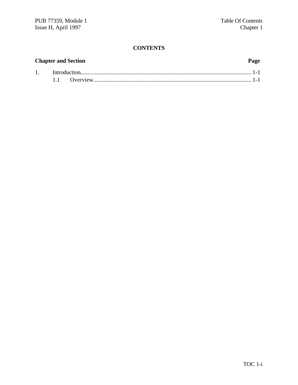#### **CONTENTS**

## **Chapter and Section Page** 1. Introduction..................................................................................................................... 1-1 1.1 Overview............................................................................................................ 1-1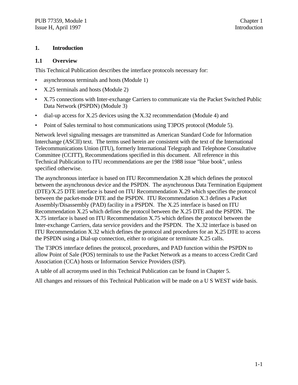#### **1. Introduction**

#### **1.1 Overview**

This Technical Publication describes the interface protocols necessary for:

- asynchronous terminals and hosts (Module 1)
- X.25 terminals and hosts (Module 2)
- X.75 connections with Inter-exchange Carriers to communicate via the Packet Switched Public Data Network (PSPDN) (Module 3)
- dial-up access for X.25 devices using the X.32 recommendation (Module 4) and
- Point of Sales terminal to host communications using T3POS protocol (Module 5).

Network level signaling messages are transmitted as American Standard Code for Information Interchange (ASCII) text. The terms used herein are consistent with the text of the International Telecommunications Union (ITU), formerly International Telegraph and Telephone Consultative Committee (CCITT), Recommendations specified in this document. All reference in this Technical Publication to ITU recommendations are per the 1988 issue "blue book", unless specified otherwise.

The asynchronous interface is based on ITU Recommendation X.28 which defines the protocol between the asynchronous device and the PSPDN. The asynchronous Data Termination Equipment (DTE)/X.25 DTE interface is based on ITU Recommendation X.29 which specifies the protocol between the packet-mode DTE and the PSPDN. ITU Recommendation X.3 defines a Packet Assembly/Disassembly (PAD) facility in a PSPDN. The X.25 interface is based on ITU Recommendation X.25 which defines the protocol between the X.25 DTE and the PSPDN. The X.75 interface is based on ITU Recommendation X.75 which defines the protocol between the Inter-exchange Carriers, data service providers and the PSPDN. The X.32 interface is based on ITU Recommendation X.32 which defines the protocol and procedures for an X.25 DTE to access the PSPDN using a Dial-up connection, either to originate or terminate X.25 calls.

The T3POS interface defines the protocol, procedures, and PAD function within the PSPDN to allow Point of Sale (POS) terminals to use the Packet Network as a means to access Credit Card Association (CCA) hosts or Information Service Providers (ISP).

A table of all acronyms used in this Technical Publication can be found in Chapter 5.

All changes and reissues of this Technical Publication will be made on a U S WEST wide basis.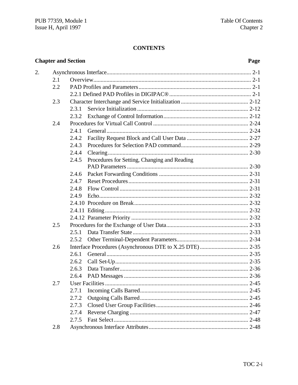#### **CONTENTS**

#### **Chapter and Section**  $\overline{2}$ .  $2.1$  $2.2$  $2.3$ 2.3.1 2.3.2  $2.4$  $2.4.1$  $2.4.2$  $2.4.3$  $2.4.4$ 2.4.5 Procedures for Setting, Changing and Reading  $2.4.6$  $2.4.7$  $2.4.8$ 2.4.9  $2.5$  $2.5.1$  $2.5.2$  $2.6$  $2.6.1$  $2.6.2$  $2.6.3$  $2.6.4$  $2.7$  $2.7.1$  $2.7.2$ 2.7.3 2.7.4  $2.7.5$  $2.8$

#### Page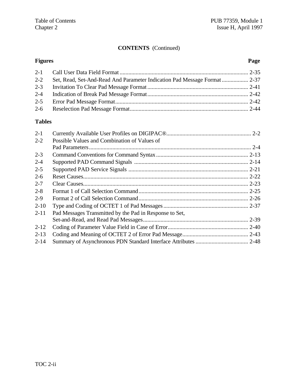### **CONTENTS** (Continued)

#### **Figures Page**

| $2 - 2$ |  |
|---------|--|
|         |  |
|         |  |
|         |  |
|         |  |

### **Tables**

| $2 - 1$  |                                                         |  |
|----------|---------------------------------------------------------|--|
| $2 - 2$  | Possible Values and Combination of Values of            |  |
|          |                                                         |  |
| $2 - 3$  |                                                         |  |
| $2 - 4$  |                                                         |  |
| $2 - 5$  |                                                         |  |
| $2-6$    |                                                         |  |
| $2 - 7$  |                                                         |  |
| $2 - 8$  |                                                         |  |
| $2 - 9$  |                                                         |  |
| $2 - 10$ |                                                         |  |
| $2 - 11$ | Pad Messages Transmitted by the Pad in Response to Set, |  |
|          |                                                         |  |
| $2 - 12$ |                                                         |  |
| $2 - 13$ |                                                         |  |
| $2 - 14$ |                                                         |  |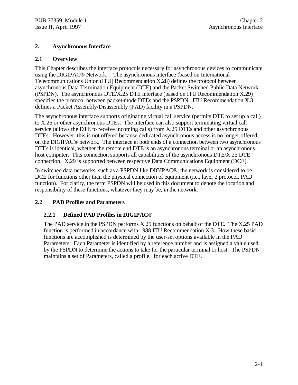#### **2. Asynchronous Interface**

#### **2.1 Overview**

This Chapter describes the interface protocols necessary for asynchronous devices to communicate using the DIGIPAC® Network. The asynchronous interface (based on International Telecommunications Union (ITU) Recommendation X.28) defines the protocol between asynchronous Data Termination Equipment (DTE) and the Packet Switched Public Data Network (PSPDN). The asynchronous DTE/X.25 DTE interface (based on ITU Recommendation X.29) specifies the protocol between packet-mode DTEs and the PSPDN. ITU Recommendation X.3 defines a Packet Assembly/Disassembly (PAD) facility in a PSPDN.

The asynchronous interface supports originating virtual call service (permits DTE to set up a call) to X.25 or other asynchronous DTEs. The interface can also support terminating virtual call service (allows the DTE to receive incoming calls) from X.25 DTEs and other asynchronous DTEs. However, this is not offered because dedicated asynchronous access is no longer offered on the DIGIPAC® network. The interface at both ends of a connection between two asynchronous DTEs is identical, whether the remote end DTE is an asynchronous terminal or an asynchronous host computer. This connection supports all capabilities of the asynchronous DTE/X.25 DTE connection. X.29 is supported between respective Data Communications Equipment (DCE).

In switched data networks, such as a PSPDN like DIGIPAC®, the network is considered to be DCE for functions other than the physical connection of equipment (i.e., layer 2 protocol, PAD function). For clarity, the term PSPDN will be used in this document to denote the location and responsibility of these functions, whatever they may be, in the network.

#### **2.2 PAD Profiles and Parameters**

#### **2.2.1 Defined PAD Profiles in DIGIPAC®**

The PAD service in the PSPDN performs X.25 functions on behalf of the DTE. The X.25 PAD function is performed in accordance with 1988 ITU Recommendation X.3. How these basic functions are accomplished is determined by the user-set options available in the PAD Parameters. Each Parameter is identified by a reference number and is assigned a value used by the PSPDN to determine the actions to take for the particular terminal or host. The PSPDN maintains a set of Parameters, called a profile, for each active DTE.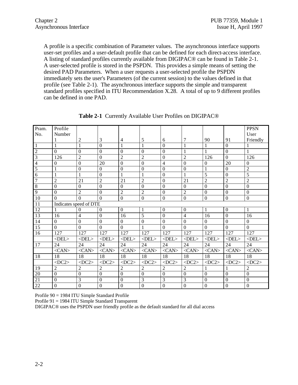A profile is a specific combination of Parameter values. The asynchronous interface supports user-set profiles and a user-default profile that can be defined for each direct-access interface. A listing of standard profiles currently available from DIGIPAC® can be found in Table 2-1. A user-selected profile is stored in the PSPDN. This provides a simple means of setting the desired PAD Parameters. When a user requests a user-selected profile the PSPDN immediately sets the user's Parameters (of the current session) to the values defined in that profile (see Table 2-1). The asynchronous interface supports the simple and transparent standard profiles specified in ITU Recommendation X.28. A total of up to 9 different profiles can be defined in one PAD.

| Pram.                    | Profile                |                |                |                  |                |                  |                  |                  |                | <b>PPSN</b>      |
|--------------------------|------------------------|----------------|----------------|------------------|----------------|------------------|------------------|------------------|----------------|------------------|
| No.                      | Number                 |                |                |                  |                |                  |                  |                  |                | User             |
|                          |                        | $\overline{2}$ | 3              | $\overline{4}$   | 5              | 6                | 7                | 90               | 91             | Friendly         |
| $\mathbf{1}$             | 1                      | 1              | $\overline{0}$ | 1                | $\mathbf{1}$   | $\Omega$         | 1                | 1                | $\overline{0}$ |                  |
| $\overline{c}$           | $\overline{0}$         | $\overline{0}$ | $\overline{0}$ | $\overline{0}$   | $\theta$       | $\Omega$         | 1                | $\mathbf{1}$     | $\overline{0}$ | $\mathbf{1}$     |
| $\overline{3}$           | 126                    | $\overline{2}$ | $\mathbf{0}$   | $\overline{2}$   | $\overline{2}$ | $\Omega$         | $\overline{2}$   | 126              | $\overline{0}$ | 126              |
| $\overline{\mathcal{L}}$ | $\Omega$               | $\mathbf{0}$   | 20             | $\mathbf{0}$     | $\mathbf{0}$   | 4                | $\mathbf{0}$     | $\mathbf{0}$     | 20             | $\mathbf{0}$     |
| $\overline{5}$           | 1                      | $\mathbf{0}$   | $\mathbf{0}$   | $\mathbf{0}$     | $\mathbf{0}$   | $\mathbf{0}$     | $\mathbf{0}$     | $\mathbf{1}$     | $\mathbf{0}$   | $\overline{c}$   |
| $\overline{6}$           | 1                      | 1              | $\Omega$       | 1                | 1              | $\Omega$         | 1                | 5                | $\overline{0}$ | $\overline{5}$   |
| 7                        | $\overline{c}$         | 21             | $\overline{2}$ | 21               | $\overline{2}$ | $\Omega$         | 21               | $\overline{c}$   | $\overline{2}$ | $\overline{2}$   |
| $\overline{8}$           | $\overline{0}$         | $\mathbf{0}$   | $\mathbf{0}$   | $\boldsymbol{0}$ | $\overline{0}$ | $\mathbf{0}$     | $\boldsymbol{0}$ | $\mathbf{0}$     | $\overline{0}$ | $\boldsymbol{0}$ |
| $\overline{9}$           | $\Omega$               | $\overline{2}$ | $\Omega$       | $\overline{2}$   | $\overline{2}$ | $\Omega$         | $\overline{2}$   | $\theta$         | $\overline{0}$ | $\mathbf{0}$     |
| 10                       | $\overline{0}$         | $\Omega$       | $\overline{0}$ | $\boldsymbol{0}$ | $\mathbf{0}$   | $\mathbf{0}$     | $\mathbf{0}$     | $\boldsymbol{0}$ | $\mathbf{0}$   | $\boldsymbol{0}$ |
| 11                       | Indicates speed of DTE |                |                |                  |                |                  |                  |                  |                |                  |
| 12                       | 1                      | $\Omega$       | $\Omega$       | $\boldsymbol{0}$ | $\mathbf{1}$   | $\mathbf{0}$     | $\mathbf{0}$     | $\mathbf{1}$     | $\overline{0}$ | 1                |
| 13                       | 16                     | $\overline{4}$ | $\overline{0}$ | 16               | 5              | $\Omega$         | $\overline{4}$   | 16               | $\overline{0}$ | 16               |
| 14                       | $\boldsymbol{0}$       | $\overline{0}$ | $\theta$       | $\boldsymbol{0}$ | $\overline{0}$ | $\overline{0}$   | $\mathbf{0}$     | $\mathbf{0}$     | $\overline{0}$ | $\boldsymbol{0}$ |
| 15                       | $\overline{0}$         | $\overline{0}$ | $\overline{0}$ | $\mathbf{0}$     | $\mathbf{1}$   | $\Omega$         | $\overline{0}$   | $\Omega$         | $\overline{0}$ | $\overline{0}$   |
| 16                       | 127                    | 127            | 127            | 127              | 127            | 127              | 127              | 127              | 127            | 127              |
|                          | $\langle$ DEL>         | $<$ DEL $>$    | $\langle$ DEL> | $<$ DEL $>$      | $\langle$ DEL> | $\langle$ DEL>   | $<$ DEL $>$      | $\langle$ DEL>   | $<$ DEL $>$    | $\langle$ DEL>   |
| 17                       | 24                     | 24             | 24             | 24               | 24             | 24               | 24               | 24               | 24             | 24               |
|                          | $<$ CAN $>$            | $<$ CAN $>$    | $<$ CAN $>$    | $<$ CAN $>$      | $<$ CAN $>$    | $<$ CAN>         | $<$ CAN $>$      | $<$ CAN $>$      | $<$ CAN $>$    | $<$ CAN $>$      |
| 18                       | 18                     | 18             | 18             | 18               | 18             | 18               | 18               | 18               | 18             | 18               |
|                          | $<$ DC2>               | $<$ DC2>       | $<$ DC2>       | $<$ DC2>         | $<$ DC2>       | $<$ DC2>         | $<$ DC2>         | $<$ DC2>         | $<$ DC2>       | $<$ DC2>         |
| 19                       | 2                      | $\overline{2}$ | $\overline{2}$ | $\overline{c}$   | $\overline{2}$ | $\overline{c}$   | $\overline{c}$   | 1                | 1              | $\overline{2}$   |
| 20                       | $\mathbf{0}$           | $\mathbf{0}$   | $\theta$       | $\overline{0}$   | $\overline{0}$ | $\overline{0}$   | $\boldsymbol{0}$ | $\mathbf{0}$     | $\overline{0}$ | $\overline{0}$   |
| 21                       | $\Omega$               | 3              | $\Omega$       | $\mathbf{0}$     | 3              | 3                | 3                | $\Omega$         | $\overline{0}$ | $\boldsymbol{0}$ |
| 22                       | $\boldsymbol{0}$       | $\mathbf{0}$   | $\mathbf{0}$   | $\mathbf{0}$     | $\mathbf{0}$   | $\boldsymbol{0}$ | $\mathbf{0}$     | $\boldsymbol{0}$ | $\mathbf{0}$   | $\mathbf{0}$     |

**Table 2-1** Currently Available User Profiles on DIGIPAC®

Profile 90 = 1984 ITU Simple Standard Profile

Profile 91 = 1984 ITU Simple Standard Transparent

DIGIPAC® uses the PSPDN user friendly profile as the default standard for all dial access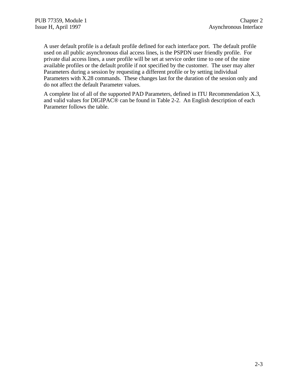A user default profile is a default profile defined for each interface port. The default profile used on all public asynchronous dial access lines, is the PSPDN user friendly profile. For private dial access lines, a user profile will be set at service order time to one of the nine available profiles or the default profile if not specified by the customer. The user may alter Parameters during a session by requesting a different profile or by setting individual Parameters with X.28 commands. These changes last for the duration of the session only and do not affect the default Parameter values.

A complete list of all of the supported PAD Parameters, defined in ITU Recommendation X.3, and valid values for DIGIPAC® can be found in Table 2-2. An English description of each Parameter follows the table.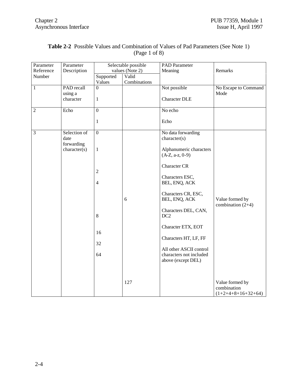| Parameter      | Parameter    |                  | Selectable possible | <b>PAD</b> Parameter                 |                      |
|----------------|--------------|------------------|---------------------|--------------------------------------|----------------------|
| Reference      | Description  |                  | values (Note 2)     | Meaning                              | Remarks              |
| Number         |              | Supported        | Valid               |                                      |                      |
|                |              | Values           | Combinations        |                                      |                      |
| $\,1\,$        | PAD recall   | $\mathbf{0}$     |                     | Not possible                         | No Escape to Command |
|                | using a      |                  |                     |                                      | Mode                 |
|                | character    | $\mathbf{1}$     |                     | <b>Character DLE</b>                 |                      |
|                |              |                  |                     |                                      |                      |
| $\overline{2}$ | Echo         | $\overline{0}$   |                     | No echo                              |                      |
|                |              |                  |                     |                                      |                      |
|                |              | $\mathbf{1}$     |                     | Echo                                 |                      |
|                |              |                  |                     |                                      |                      |
| $\overline{3}$ | Selection of | $\overline{0}$   |                     | No data forwarding                   |                      |
|                | date         |                  |                     | character(s)                         |                      |
|                | forwarding   |                  |                     |                                      |                      |
|                | character(s) | $\,1$            |                     | Alphanumeric characters              |                      |
|                |              |                  |                     | $(A-Z, a-z, 0-9)$                    |                      |
|                |              |                  |                     |                                      |                      |
|                |              |                  |                     | <b>Character CR</b>                  |                      |
|                |              | $\boldsymbol{2}$ |                     |                                      |                      |
|                |              |                  |                     | Characters ESC,                      |                      |
|                |              | $\overline{4}$   |                     | BEL, ENQ, ACK                        |                      |
|                |              |                  |                     |                                      |                      |
|                |              |                  | 6                   | Characters CR, ESC,<br>BEL, ENQ, ACK | Value formed by      |
|                |              |                  |                     |                                      | combination $(2+4)$  |
|                |              |                  |                     | Characters DEL, CAN,                 |                      |
|                |              | $8\,$            |                     | DC <sub>2</sub>                      |                      |
|                |              |                  |                     |                                      |                      |
|                |              |                  |                     | Character ETX, EOT                   |                      |
|                |              | 16               |                     |                                      |                      |
|                |              |                  |                     | Characters HT, LF, FF                |                      |
|                |              | 32               |                     |                                      |                      |
|                |              |                  |                     | All other ASCII control              |                      |
|                |              | 64               |                     | characters not included              |                      |
|                |              |                  |                     | above (except DEL)                   |                      |
|                |              |                  |                     |                                      |                      |
|                |              |                  |                     |                                      |                      |
|                |              |                  |                     |                                      |                      |
|                |              |                  | 127                 |                                      | Value formed by      |
|                |              |                  |                     |                                      | combination          |
|                |              |                  |                     |                                      | $(1+2+4+8+16+32+64)$ |

#### **Table 2-2** Possible Values and Combination of Values of Pad Parameters (See Note 1) (Page 1 of 8)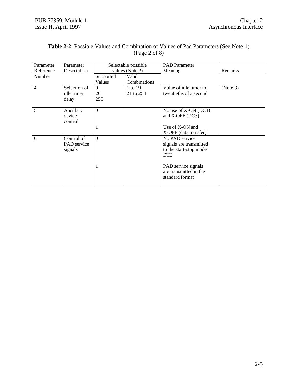| Parameter<br>Reference | Parameter<br>Description                    | Selectable possible<br>values (Note 2) |                       | <b>PAD</b> Parameter<br>Meaning                                                   | <b>Remarks</b> |
|------------------------|---------------------------------------------|----------------------------------------|-----------------------|-----------------------------------------------------------------------------------|----------------|
| Number                 |                                             | Supported<br>Values                    | Valid<br>Combinations |                                                                                   |                |
| $\overline{4}$         | Selection of<br>idle timer<br>delay         | $\Omega$<br>20<br>255                  | 1 to 19<br>21 to 254  | Value of idle timer in<br>twentieths of a second                                  | (Note 3)       |
| 5                      | Ancillary<br>device<br>control              | $\Omega$                               |                       | No use of X-ON (DC1)<br>and $X$ -OFF (DC3)                                        |                |
|                        |                                             | 1                                      |                       | Use of X-ON and<br>X-OFF (data transfer)                                          |                |
| 6                      | Control of<br><b>PAD</b> service<br>signals | $\Omega$                               |                       | No PAD service<br>signals are transmitted<br>to the start-stop mode<br><b>DTE</b> |                |
|                        |                                             | 1                                      |                       | PAD service signals<br>are transmitted in the<br>standard format                  |                |

#### **Table 2-2** Possible Values and Combination of Values of Pad Parameters (See Note 1) (Page 2 of 8)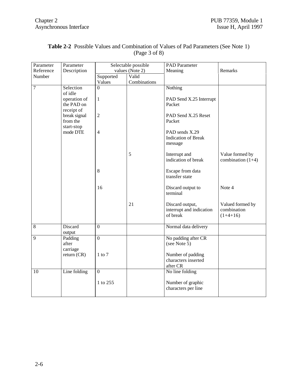| Parameter        | Parameter              | Selectable possible |              | <b>PAD</b> Parameter                     |                     |
|------------------|------------------------|---------------------|--------------|------------------------------------------|---------------------|
| Reference        | Description            | values (Note 2)     |              | Meaning                                  | Remarks             |
| Number           |                        | Supported           | Valid        |                                          |                     |
|                  |                        | Values              | Combinations |                                          |                     |
| $\boldsymbol{7}$ | Selection              | $\overline{0}$      |              | Nothing                                  |                     |
|                  | of idle                |                     |              |                                          |                     |
|                  | operation of           | $\mathbf{1}$        |              | PAD Send X.25 Interrupt                  |                     |
|                  | the PAD on             |                     |              | Packet                                   |                     |
|                  | receipt of             |                     |              |                                          |                     |
|                  | break signal           | $\overline{2}$      |              | PAD Send X.25 Reset                      |                     |
|                  | from the               |                     |              | Packet                                   |                     |
|                  | start-stop<br>mode DTE | $\overline{4}$      |              | PAD sends X.29                           |                     |
|                  |                        |                     |              | <b>Indication of Break</b>               |                     |
|                  |                        |                     |              | message                                  |                     |
|                  |                        |                     |              |                                          |                     |
|                  |                        |                     | 5            | Interrupt and                            | Value formed by     |
|                  |                        |                     |              | indication of break                      | combination $(1+4)$ |
|                  |                        |                     |              |                                          |                     |
|                  |                        | 8                   |              | Escape from data                         |                     |
|                  |                        |                     |              | transfer state                           |                     |
|                  |                        |                     |              |                                          |                     |
|                  |                        | 16                  |              | Discard output to                        | Note 4              |
|                  |                        |                     |              | terminal                                 |                     |
|                  |                        |                     | 21           | Discard output,                          | Valued formed by    |
|                  |                        |                     |              | interrupt and indication                 | combination         |
|                  |                        |                     |              | of break                                 | $(1+4+16)$          |
|                  |                        |                     |              |                                          |                     |
| $8\,$            | Discard                | $\overline{0}$      |              | Normal data delivery                     |                     |
|                  | output                 |                     |              |                                          |                     |
| 9                | Padding                | $\overline{0}$      |              | No padding after CR                      |                     |
|                  | after                  |                     |              | (see Note 5)                             |                     |
|                  | carriage               |                     |              |                                          |                     |
|                  | return $(CR)$          | $1$ to $7$          |              | Number of padding                        |                     |
|                  |                        |                     |              | characters inserted                      |                     |
|                  |                        |                     |              | after CR                                 |                     |
| 10               | Line folding           | $\overline{0}$      |              | No line folding                          |                     |
|                  |                        |                     |              |                                          |                     |
|                  |                        | 1 to 255            |              | Number of graphic<br>characters per line |                     |
|                  |                        |                     |              |                                          |                     |
|                  |                        |                     |              |                                          |                     |

#### **Table 2-2** Possible Values and Combination of Values of Pad Parameters (See Note 1) (Page 3 of 8)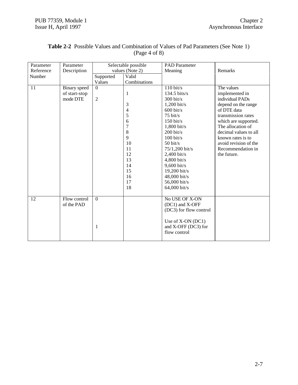| Parameter | Parameter     |              | Selectable possible | <b>PAD</b> Parameter   |                       |
|-----------|---------------|--------------|---------------------|------------------------|-----------------------|
| Reference | Description   |              | values (Note 2)     | Meaning                | Remarks               |
| Number    |               | Supported    | Valid               |                        |                       |
|           |               | Values       | Combinations        |                        |                       |
| 11        | Binary speed  | $\mathbf{0}$ |                     | $110 \text{ bit/s}$    | The values            |
|           | of start-stop |              | 1                   | 134.5 bits/s           | implemented in        |
|           | mode DTE      | $\sqrt{2}$   |                     | $300 \text{ bit/s}$    | individual PADs       |
|           |               |              | 3                   | $1,200$ bit/s          | depend on the range   |
|           |               |              | 4                   | $600 \text{ bit/s}$    | of DTE data           |
|           |               |              | 5                   | $75 \text{ bit/s}$     | transmission rates    |
|           |               |              | 6                   | $150 \text{ bit/s}$    | which are supported.  |
|           |               |              | 7                   | $1,800$ bit/s          | The allocation of     |
|           |               |              | 8                   | $200 \frac{bit}{s}$    | decimal values to all |
|           |               |              | 9                   | $100 \text{ bit/s}$    | known rates is to     |
|           |               |              | 10                  | $50 \text{ bit/s}$     | avoid revision of the |
|           |               |              | 11                  | 75/1,200 bit/s         | Recommendation in     |
|           |               |              | 12                  | $2,400$ bit/s          | the future.           |
|           |               |              | 13                  | $4,800 \text{ bit/s}$  |                       |
|           |               |              | 14                  | 9,600 bit/s            |                       |
|           |               |              | 15                  | 19,200 bit/s           |                       |
|           |               |              | 16                  | 48,000 bit/s           |                       |
|           |               |              | 17                  | 56,000 bit/s           |                       |
|           |               |              | 18                  | 64,000 bit/s           |                       |
|           |               |              |                     |                        |                       |
| 12        | Flow control  | $\mathbf{0}$ |                     | No USE OF X-ON         |                       |
|           | of the PAD    |              |                     | (DC1) and X-OFF        |                       |
|           |               |              |                     | (DC3) for flow control |                       |
|           |               |              |                     |                        |                       |
|           |               |              |                     | Use of X-ON (DC1)      |                       |
|           |               | 1            |                     | and X-OFF (DC3) for    |                       |
|           |               |              |                     | flow control           |                       |
|           |               |              |                     |                        |                       |

#### **Table 2-2** Possible Values and Combination of Values of Pad Parameters (See Note 1) (Page 4 of 8)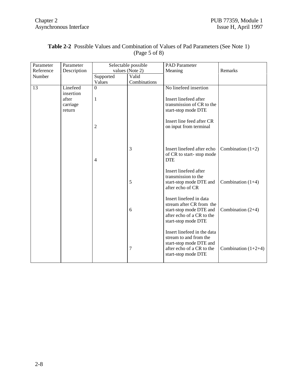| Parameter | Parameter   |                | Selectable possible        | <b>PAD</b> Parameter        |                       |
|-----------|-------------|----------------|----------------------------|-----------------------------|-----------------------|
| Reference | Description |                | values (Note 2)<br>Meaning |                             | Remarks               |
| Number    |             | Supported      | Valid                      |                             |                       |
|           |             | Values         | Combinations               |                             |                       |
| 13        | Linefeed    | $\mathbf{0}$   |                            | No linefeed insertion       |                       |
|           | insertion   |                |                            |                             |                       |
|           | after       | 1              |                            | Insert linefeed after       |                       |
|           | carriage    |                |                            | transmission of CR to the   |                       |
|           | return      |                |                            | start-stop mode DTE         |                       |
|           |             |                |                            |                             |                       |
|           |             |                |                            | Insert line feed after CR   |                       |
|           |             | $\overline{c}$ |                            | on input from terminal      |                       |
|           |             |                |                            |                             |                       |
|           |             |                |                            |                             |                       |
|           |             |                | 3                          | Insert linefeed after echo  | Combination $(1+2)$   |
|           |             |                |                            | of CR to start-stop mode    |                       |
|           |             | 4              |                            | <b>DTE</b>                  |                       |
|           |             |                |                            |                             |                       |
|           |             |                |                            | Insert linefeed after       |                       |
|           |             |                |                            | transmission to the         |                       |
|           |             |                | 5                          | start-stop mode DTE and     | Combination $(1+4)$   |
|           |             |                |                            | after echo of CR            |                       |
|           |             |                |                            |                             |                       |
|           |             |                |                            | Insert linefeed in data     |                       |
|           |             |                |                            | stream after CR from the    |                       |
|           |             |                | 6                          | start-stop mode DTE and     | Combination $(2+4)$   |
|           |             |                |                            | after echo of a CR to the   |                       |
|           |             |                |                            | start-stop mode DTE         |                       |
|           |             |                |                            |                             |                       |
|           |             |                |                            | Insert linefeed in the data |                       |
|           |             |                |                            | stream to and from the      |                       |
|           |             |                |                            | start-stop mode DTE and     |                       |
|           |             |                | 7                          | after echo of a CR to the   | Combination $(1+2+4)$ |
|           |             |                |                            | start-stop mode DTE         |                       |
|           |             |                |                            |                             |                       |

#### **Table 2-2** Possible Values and Combination of Values of Pad Parameters (See Note 1) (Page 5 of 8)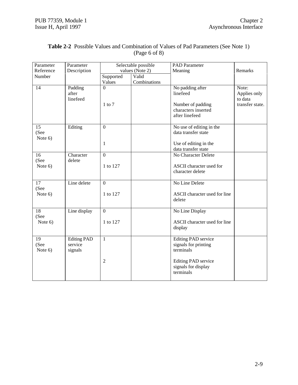| Parameter               | Parameter                                |                        | Selectable possible   | <b>PAD</b> Parameter                                                                       |                                                     |
|-------------------------|------------------------------------------|------------------------|-----------------------|--------------------------------------------------------------------------------------------|-----------------------------------------------------|
| Reference               | Description                              |                        | values (Note 2)       | Meaning                                                                                    | Remarks                                             |
| Number                  |                                          | Supported<br>Values    | Valid<br>Combinations |                                                                                            |                                                     |
| 14                      | Padding<br>after<br>linefeed             | $\Omega$<br>$1$ to $7$ |                       | No padding after<br>linefeed<br>Number of padding<br>characters inserted<br>after linefeed | Note:<br>Applies only<br>to data<br>transfer state. |
|                         |                                          |                        |                       |                                                                                            |                                                     |
| 15<br>(See<br>Note $6)$ | Editing                                  | $\overline{0}$         |                       | No use of editing in the<br>data transfer state                                            |                                                     |
|                         |                                          | 1                      |                       | Use of editing in the<br>data transfer state                                               |                                                     |
| 16<br>(See              | Character<br>delete                      | $\overline{0}$         |                       | No Character Delete                                                                        |                                                     |
| Note 6)                 |                                          | 1 to 127               |                       | ASCII character used for<br>character delete                                               |                                                     |
| 17                      | Line delete                              | $\mathbf{0}$           |                       | No Line Delete                                                                             |                                                     |
| (See<br>Note $6)$       |                                          | 1 to 127               |                       | ASCII character used for line<br>delete                                                    |                                                     |
| 18                      | Line display                             | $\mathbf{0}$           |                       | No Line Display                                                                            |                                                     |
| (See<br>Note 6)         |                                          | 1 to 127               |                       | ASCII character used for line<br>display                                                   |                                                     |
| 19<br>(See<br>Note 6)   | <b>Editing PAD</b><br>service<br>signals | $\mathbf{1}$           |                       | <b>Editing PAD</b> service<br>signals for printing<br>terminals                            |                                                     |
|                         |                                          | $\mathfrak{2}$         |                       | Editing PAD service<br>signals for display<br>terminals                                    |                                                     |

#### **Table 2-2** Possible Values and Combination of Values of Pad Parameters (See Note 1) (Page 6 of 8)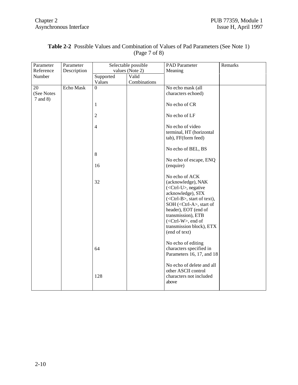| Parameter    | Parameter   |                         | Selectable possible | PAD Parameter                                                                                                                                                                                                        | Remarks |
|--------------|-------------|-------------------------|---------------------|----------------------------------------------------------------------------------------------------------------------------------------------------------------------------------------------------------------------|---------|
| Reference    | Description |                         | values (Note 2)     | Meaning                                                                                                                                                                                                              |         |
| Number       |             | Supported               | Valid               |                                                                                                                                                                                                                      |         |
|              |             | Values                  | Combinations        |                                                                                                                                                                                                                      |         |
| 20           | Echo Mask   | $\Omega$                |                     | No echo mask (all                                                                                                                                                                                                    |         |
| (See Notes   |             |                         |                     | characters echoed)                                                                                                                                                                                                   |         |
| $7$ and $8)$ |             |                         |                     |                                                                                                                                                                                                                      |         |
|              |             | $\mathbf{1}$            |                     | No echo of CR                                                                                                                                                                                                        |         |
|              |             | $\overline{c}$          |                     | No echo of LF                                                                                                                                                                                                        |         |
|              |             | $\overline{\mathbf{4}}$ |                     | No echo of video                                                                                                                                                                                                     |         |
|              |             |                         |                     | terminal, HT (horizontal                                                                                                                                                                                             |         |
|              |             |                         |                     | tab), FF(form feed)                                                                                                                                                                                                  |         |
|              |             |                         |                     | No echo of BEL, BS                                                                                                                                                                                                   |         |
|              |             | 8                       |                     |                                                                                                                                                                                                                      |         |
|              |             |                         |                     | No echo of escape, ENQ                                                                                                                                                                                               |         |
|              |             | 16                      |                     | (enquire)                                                                                                                                                                                                            |         |
|              |             | 32                      |                     | No echo of ACK<br>(acknowledge), NAK<br>$(<$ Ctrl-U $>$ , negative<br>acknowledge), STX<br>( <ctrl-b>, start of text),<br/>SOH (<ctrl-a>, start of<br/>header), EOT (end of<br/>transmission), ETB</ctrl-a></ctrl-b> |         |
|              |             |                         |                     | $(<$ Ctrl-W $>$ , end of<br>transmission block), ETX<br>(end of text)                                                                                                                                                |         |
|              |             | 64                      |                     | No echo of editing<br>characters specified in<br>Parameters 16, 17, and 18                                                                                                                                           |         |
|              |             | 128                     |                     | No echo of delete and all<br>other ASCII control<br>characters not included<br>above                                                                                                                                 |         |

#### **Table 2-2** Possible Values and Combination of Values of Pad Parameters (See Note 1) (Page 7 of 8)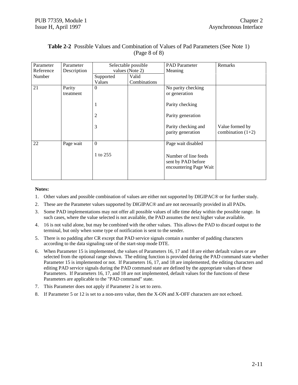| Parameter | Parameter   |                 | Selectable possible | <b>PAD</b> Parameter                                                 | Remarks                                |
|-----------|-------------|-----------------|---------------------|----------------------------------------------------------------------|----------------------------------------|
| Reference | Description | values (Note 2) |                     | Meaning                                                              |                                        |
| Number    |             | Supported       | Valid               |                                                                      |                                        |
|           |             | Values          | Combinations        |                                                                      |                                        |
| 21        | Parity      | $\theta$        |                     | No parity checking                                                   |                                        |
|           | treatment   |                 |                     | or generation                                                        |                                        |
|           |             | 1               |                     | Parity checking                                                      |                                        |
|           |             | $\overline{c}$  |                     | Parity generation                                                    |                                        |
|           |             | 3               |                     | Parity checking and<br>parity generation                             | Value formed by<br>combination $(1+2)$ |
| 22        | Page wait   | $\overline{0}$  |                     | Page wait disabled                                                   |                                        |
|           |             | 1 to 255        |                     | Number of line feeds<br>sent by PAD before<br>encountering Page Wait |                                        |

#### **Table 2-2** Possible Values and Combination of Values of Pad Parameters (See Note 1) (Page 8 of 8)

#### **Notes:**

- 1. Other values and possible combination of values are either not supported by DIGIPAC® or for further study.
- 2. These are the Parameter values supported by DIGIPAC® and are not necessarily provided in all PADs.
- 3. Some PAD implementations may not offer all possible values of idle time delay within the possible range. In such cases, where the value selected is not available, the PAD assumes the next higher value available.
- 4. 16 is not valid alone, but may be combined with the other values. This allows the PAD to discard output to the terminal, but only when some type of notification is sent to the sender.
- 5. There is no padding after CR except that PAD service signals contain a number of padding characters according to the data signaling rate of the start-stop mode DTE.
- 6. When Parameter 15 is implemented, the values of Parameters 16, 17 and 18 are either default values or are selected from the optional range shown. The editing function is provided during the PAD command state whether Parameter 15 is implemented or not. If Parameters 16, 17, and 18 are implemented, the editing characters and editing PAD service signals during the PAD command state are defined by the appropriate values of these Parameters. If Parameters 16, 17, and 18 are not implemented, default values for the functions of these Parameters are applicable to the "PAD command" state.
- 7. This Parameter does not apply if Parameter 2 is set to zero.
- 8. If Parameter 5 or 12 is set to a non-zero value, then the X-ON and X-OFF characters are not echoed.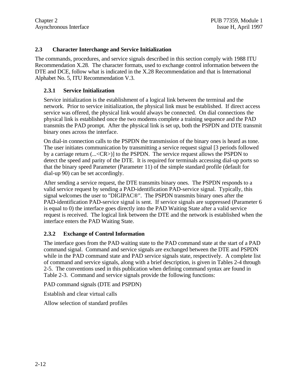#### **2.3 Character Interchange and Service Initialization**

The commands, procedures, and service signals described in this section comply with 1988 ITU Recommendation X.28. The character formats, used to exchange control information between the DTE and DCE, follow what is indicated in the X.28 Recommendation and that is International Alphabet No. 5, ITU Recommendation V.3.

#### **2.3.1 Service Initialization**

Service initialization is the establishment of a logical link between the terminal and the network. Prior to service initialization, the physical link must be established. If direct access service was offered, the physical link would always be connected. On dial connections the physical link is established once the two modems complete a training sequence and the PAD transmits the PAD prompt. After the physical link is set up, both the PSPDN and DTE transmit binary ones across the interface.

On dial-in connection calls to the PSPDN the transmission of the binary ones is heard as tone. The user initiates communication by transmitting a service request signal [3 periods followed by a carriage return (...<CR>)] to the PSPDN. The service request allows the PSPDN to detect the speed and parity of the DTE. It is required for terminals accessing dial-up ports so that the binary speed Parameter (Parameter 11) of the simple standard profile (default for dial-up 90) can be set accordingly.

After sending a service request, the DTE transmits binary ones. The PSPDN responds to a valid service request by sending a PAD-identification PAD-service signal. Typically, this signal welcomes the user to "DIGIPAC®". The PSPDN transmits binary ones after the PAD-identification PAD-service signal is sent. If service signals are suppressed (Parameter 6 is equal to 0) the interface goes directly into the PAD Waiting State after a valid service request is received. The logical link between the DTE and the network is established when the interface enters the PAD Waiting State.

#### **2.3.2 Exchange of Control Information**

The interface goes from the PAD waiting state to the PAD command state at the start of a PAD command signal. Command and service signals are exchanged between the DTE and PSPDN while in the PAD command state and PAD service signals state, respectively. A complete list of command and service signals, along with a brief description, is given in Tables 2-4 through 2-5. The conventions used in this publication when defining command syntax are found in Table 2-3. Command and service signals provide the following functions:

PAD command signals (DTE and PSPDN)

Establish and clear virtual calls

Allow selection of standard profiles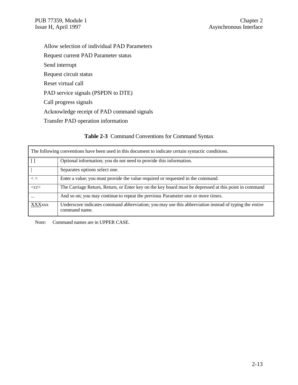Allow selection of individual PAD Parameters Request current PAD Parameter status Send interrupt Request circuit status Reset virtual call PAD service signals (PSPDN to DTE) Call progress signals Acknowledge receipt of PAD command signals Transfer PAD operation information

#### **Table 2-3** Command Conventions for Command Syntax

|               | The following conventions have been used in this document to indicate certain syntactic conditions.                    |
|---------------|------------------------------------------------------------------------------------------------------------------------|
|               | Optional information; you do not need to provide this information.                                                     |
|               | Separates options select one.                                                                                          |
| $\langle$     | Enter a value; you must provide the value required or requested in the command.                                        |
| $<$ cr $>$    | The Carriage Return, Return, or Enter key on the key board must be depressed at this point in command                  |
| $\cdots$      | And so on; you may continue to repeat the previous Parameter one or more times.                                        |
| <b>XXXXXX</b> | Underscore indicates command abbreviation; you may use this abbreviation instead of typing the entire<br>command name. |

Note: Command names are in UPPER CASE.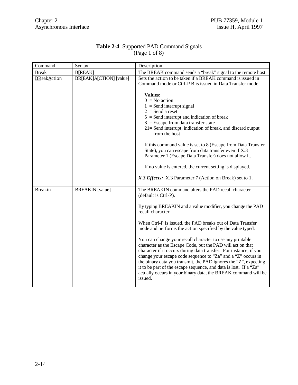| Command            | Syntax                  | Description                                                                                                                                                                                                                                                                                                                                                                                                                                                                        |
|--------------------|-------------------------|------------------------------------------------------------------------------------------------------------------------------------------------------------------------------------------------------------------------------------------------------------------------------------------------------------------------------------------------------------------------------------------------------------------------------------------------------------------------------------|
| <b>Break</b>       | <b>B[REAK]</b>          | The BREAK command sends a "break" signal to the remote host.                                                                                                                                                                                                                                                                                                                                                                                                                       |
| <b>BReakAction</b> | BR[EAK]A[CTION] [value] | Sets the action to be taken if a BREAK command is issued in<br>Command mode or Ctrl-P B is issued in Data Transfer mode.                                                                                                                                                                                                                                                                                                                                                           |
|                    |                         | <b>Values:</b>                                                                                                                                                                                                                                                                                                                                                                                                                                                                     |
|                    |                         | $0 = No$ action                                                                                                                                                                                                                                                                                                                                                                                                                                                                    |
|                    |                         | $1 =$ Send interrupt signal                                                                                                                                                                                                                                                                                                                                                                                                                                                        |
|                    |                         | $2 =$ Send a reset                                                                                                                                                                                                                                                                                                                                                                                                                                                                 |
|                    |                         | $5 =$ Send interrupt and indication of break                                                                                                                                                                                                                                                                                                                                                                                                                                       |
|                    |                         | $8 =$ Escape from data transfer state                                                                                                                                                                                                                                                                                                                                                                                                                                              |
|                    |                         | $21 =$ Send interrupt, indication of break, and discard output<br>from the host                                                                                                                                                                                                                                                                                                                                                                                                    |
|                    |                         | If this command value is set to 8 (Escape from Data Transfer                                                                                                                                                                                                                                                                                                                                                                                                                       |
|                    |                         | State), you can escape from data transfer even if X.3<br>Parameter 1 (Escape Data Transfer) does not allow it.                                                                                                                                                                                                                                                                                                                                                                     |
|                    |                         |                                                                                                                                                                                                                                                                                                                                                                                                                                                                                    |
|                    |                         | If no value is entered, the current setting is displayed.                                                                                                                                                                                                                                                                                                                                                                                                                          |
|                    |                         | X.3 Effects: X.3 Parameter 7 (Action on Break) set to 1.                                                                                                                                                                                                                                                                                                                                                                                                                           |
| <b>Breakin</b>     | <b>BREAKIN</b> [value]  | The BREAKIN command alters the PAD recall character<br>(default is Ctrl-P).                                                                                                                                                                                                                                                                                                                                                                                                        |
|                    |                         | By typing BREAKIN and a value modifier, you change the PAD<br>recall character.                                                                                                                                                                                                                                                                                                                                                                                                    |
|                    |                         | When Ctrl-P is issued, the PAD breaks out of Data Transfer<br>mode and performs the action specified by the value typed.                                                                                                                                                                                                                                                                                                                                                           |
|                    |                         | You can change your recall character to use any printable<br>character as the Escape Code, but the PAD will act on that<br>character if it occurs during data transfer. For instance, if you<br>change your escape code sequence to "Za" and a "Z" occurs in<br>the binary data you transmit, the PAD ignores the "Z", expecting<br>it to be part of the escape sequence, and data is lost. If a "Za"<br>actually occurs in your binary data, the BREAK command will be<br>issued. |

#### **Table 2-4** Supported PAD Command Signals (Page 1 of 8)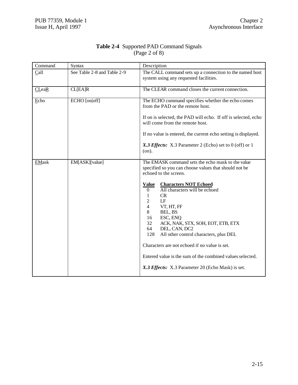| Command      | <b>Syntax</b>               | Description                                                                                                                                                                                                                                                                                                                                                                                                                                                                   |  |
|--------------|-----------------------------|-------------------------------------------------------------------------------------------------------------------------------------------------------------------------------------------------------------------------------------------------------------------------------------------------------------------------------------------------------------------------------------------------------------------------------------------------------------------------------|--|
| Call         | See Table 2-8 and Table 2-9 | The CALL command sets up a connection to the named host<br>system using any requested facilities.                                                                                                                                                                                                                                                                                                                                                                             |  |
| <b>CLeaR</b> | CL[EA]R                     | The CLEAR command closes the current connection.                                                                                                                                                                                                                                                                                                                                                                                                                              |  |
| Echo         | ECHO [on off]               | The ECHO command specifies whether the echo comes<br>from the PAD or the remote host.                                                                                                                                                                                                                                                                                                                                                                                         |  |
|              |                             | If on is selected, the PAD will echo. If off is selected, echo<br>will come from the remote host.                                                                                                                                                                                                                                                                                                                                                                             |  |
|              |                             | If no value is entered, the current echo setting is displayed.                                                                                                                                                                                                                                                                                                                                                                                                                |  |
|              |                             | X.3 Effects: X.3 Parameter 2 (Echo) set to 0 (off) or 1<br>(on).                                                                                                                                                                                                                                                                                                                                                                                                              |  |
| <b>EMask</b> | EM[ASK][value]              | The EMASK command sets the echo mask to the value<br>specified so you can choose values that should not be<br>echoed to the screen.                                                                                                                                                                                                                                                                                                                                           |  |
|              |                             | <b>Characters NOT Echoed</b><br><b>Value</b><br>All characters will be echoed<br>$\overline{0}$<br>CR<br>1<br>2<br>LF<br>$\overline{4}$<br>VT, HT, FF<br>8<br>BEL, BS<br>16<br>ESC, ENQ<br>32<br>ACK, NAK, STX, SOH, EOT, ETB, ETX<br>64<br>DEL, CAN, DC2<br>128<br>All other control characters, plus DEL<br>Characters are not echoed if no value is set.<br>Entered value is the sum of the combined values selected.<br>X.3 Effects: X.3 Parameter 20 (Echo Mask) is set. |  |

#### **Table 2-4** Supported PAD Command Signals (Page 2 of 8)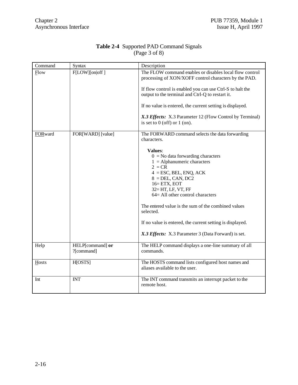| Command | Syntax                         | Description                                                                                                                                                                                                                                                                                                                                                                                                                                                                                    |
|---------|--------------------------------|------------------------------------------------------------------------------------------------------------------------------------------------------------------------------------------------------------------------------------------------------------------------------------------------------------------------------------------------------------------------------------------------------------------------------------------------------------------------------------------------|
| Flow    | F[LOW][on off]                 | The FLOW command enables or disables local flow control<br>processing of XON/XOFF control characters by the PAD.<br>If flow control is enabled you can use Ctrl-S to halt the<br>output to the terminal and Ctrl-Q to restart it.<br>If no value is entered, the current setting is displayed.<br>X.3 Effects: X.3 Parameter 12 (Flow Control by Terminal)<br>is set to $0$ (off) or $1$ (on).                                                                                                 |
| FORward | FOR[WARD] [value]              | The FORWARD command selects the data forwarding<br>characters.<br><b>Values:</b><br>$0 =$ No data forwarding characters<br>$1 =$ Alphanumeric characters<br>$2 = CR$<br>$4 = ESC, BEL, ENQ, ACK$<br>$8 = DEL$ , CAN, DC2<br>$16 = ETX$ , EOT<br>32= HT, LF, VT, FF<br>64= All other control characters<br>The entered value is the sum of the combined values<br>selected.<br>If no value is entered, the current setting is displayed.<br>X.3 Effects: X.3 Parameter 3 (Data Forward) is set. |
| Help    | HELP[command] or<br>?[command] | The HELP command displays a one-line summary of all<br>commands.                                                                                                                                                                                                                                                                                                                                                                                                                               |
| Hosts   | H[OSTS]                        | The HOSTS command lists configured host names and<br>aliases available to the user.                                                                                                                                                                                                                                                                                                                                                                                                            |
| Int     | <b>INT</b>                     | The INT command transmits an interrupt packet to the<br>remote host.                                                                                                                                                                                                                                                                                                                                                                                                                           |

#### **Table 2-4** Supported PAD Command Signals (Page 3 of 8)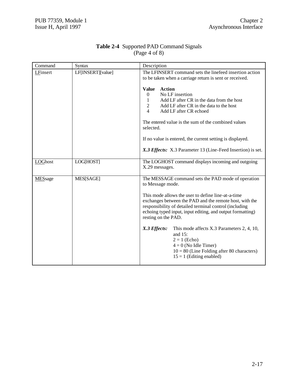| Command  | Syntax            | Description                                                                                                                                                                                                                                                                                                                                                                                                                                                                                                                                              |
|----------|-------------------|----------------------------------------------------------------------------------------------------------------------------------------------------------------------------------------------------------------------------------------------------------------------------------------------------------------------------------------------------------------------------------------------------------------------------------------------------------------------------------------------------------------------------------------------------------|
| LFinsert | LF[INSERT][value] | The LFINSERT command sets the linefeed insertion action<br>to be taken when a carriage return is sent or received.<br><b>Value</b><br><b>Action</b><br>No LF insertion<br>$\theta$<br>Add LF after CR in the data from the host<br>$\mathbf{1}$<br>Add LF after CR in the data to the host<br>$\overline{2}$<br>$\overline{4}$<br>Add LF after CR echoed<br>The entered value is the sum of the combined values<br>selected.<br>If no value is entered, the current setting is displayed.<br>X.3 Effects: X.3 Parameter 13 (Line-Feed Insertion) is set. |
| LOGhost  | LOG[HOST]         | The LOGHOST command displays incoming and outgoing<br>X.29 messages.                                                                                                                                                                                                                                                                                                                                                                                                                                                                                     |
| MESsage  | MES[SAGE]         | The MESSAGE command sets the PAD mode of operation<br>to Message mode.<br>This mode allows the user to define line-at-a-time<br>exchanges between the PAD and the remote host, with the<br>responsibility of detailed terminal control (including<br>echoing typed input, input editing, and output formatting)<br>resting on the PAD.<br>X.3 Effects:<br>This mode affects X.3 Parameters 2, 4, 10,<br>and $15$ :<br>$2 = 1$ (Echo)<br>$4 = 0$ (No Idle Timer)<br>$10 = 80$ (Line Folding after 80 characters)<br>$15 = 1$ (Editing enabled)            |

#### **Table 2-4** Supported PAD Command Signals (Page 4 of 8)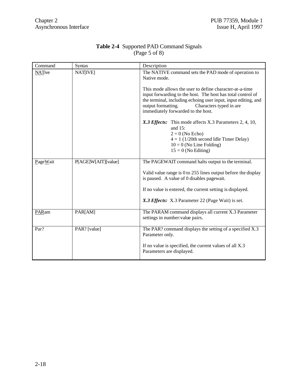| Command       | <b>Syntax</b>       | Description                                                                                                                                                                                                                                                                                                                                                                                                                                                                                                                                              |
|---------------|---------------------|----------------------------------------------------------------------------------------------------------------------------------------------------------------------------------------------------------------------------------------------------------------------------------------------------------------------------------------------------------------------------------------------------------------------------------------------------------------------------------------------------------------------------------------------------------|
| <b>NATive</b> | <b>NATIVEI</b>      | The NATIVE command sets the PAD mode of operation to<br>Native mode.<br>This mode allows the user to define character-at-a-time<br>input forwarding to the host. The host has total control of<br>the terminal, including echoing user input, input editing, and<br>output formatting.<br>Characters typed in are<br>immediately forwarded to the host.<br>X.3 Effects: This mode affects X.3 Parameters 2, 4, 10,<br>and $15$ :<br>$2 = 0$ (No Echo)<br>$4 = 1$ (1/20th second Idle Timer Delay)<br>$10 = 0$ (No Line Folding)<br>$15 = 0$ (No Editing) |
| PageWait      | P[AGE]W[AIT][value] | The PAGEWAIT command halts output to the terminal.<br>Valid value range is 0 to 255 lines output before the display<br>is paused. A value of 0 disables pagewait.<br>If no value is entered, the current setting is displayed.<br>X.3 Effects: X.3 Parameter 22 (Page Wait) is set.                                                                                                                                                                                                                                                                      |
| PARam         | PAR[AM]             | The PARAM command displays all current X.3 Parameter<br>settings in number: value pairs.                                                                                                                                                                                                                                                                                                                                                                                                                                                                 |
| Par?          | PAR? [value]        | The PAR? command displays the setting of a specified X.3<br>Parameter only.<br>If no value is specified, the current values of all X.3<br>Parameters are displayed.                                                                                                                                                                                                                                                                                                                                                                                      |

#### **Table 2-4** Supported PAD Command Signals (Page 5 of 8)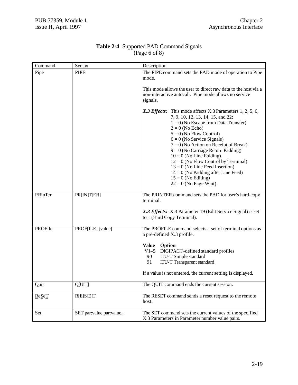| Command | <b>Syntax</b>           | Description                                                                                                                                                                                                                                                                                                                                                                                                                                                                                                             |
|---------|-------------------------|-------------------------------------------------------------------------------------------------------------------------------------------------------------------------------------------------------------------------------------------------------------------------------------------------------------------------------------------------------------------------------------------------------------------------------------------------------------------------------------------------------------------------|
| Pipe    | <b>PIPE</b>             | The PIPE command sets the PAD mode of operation to Pipe<br>mode.                                                                                                                                                                                                                                                                                                                                                                                                                                                        |
|         |                         | This mode allows the user to direct raw data to the host via a<br>non-interactive autocall. Pipe mode allows no service<br>signals.                                                                                                                                                                                                                                                                                                                                                                                     |
|         |                         | X.3 Effects: This mode affects X.3 Parameters 1, 2, 5, 6,<br>7, 9, 10, 12, 13, 14, 15, and 22:<br>$1 = 0$ (No Escape from Data Transfer)<br>$2 = 0$ (No Echo)<br>$5 = 0$ (No Flow Control)<br>$6 = 0$ (No Service Signals)<br>$7 = 0$ (No Action on Receipt of Break)<br>$9 = 0$ (No Carriage Return Padding)<br>$10 = 0$ (No Line Folding)<br>$12 = 0$ (No Flow Control by Terminal)<br>$13 = 0$ (No Line Feed Insertion)<br>$14 = 0$ (No Padding after Line Feed)<br>$15 = 0$ (No Editing)<br>$22 = 0$ (No Page Wait) |
| PRinTer | PR[IN]T[ER]             | The PRINTER command sets the PAD for user's hard-copy<br>terminal.<br>X.3 Effects: X.3 Parameter 19 (Edit Service Signal) is set<br>to 1 (Hard Copy Terminal).                                                                                                                                                                                                                                                                                                                                                          |
| PROFile | PROF[ILE] [value]       | The PROFILE command selects a set of terminal options as<br>a pre-defined X.3 profile.<br>Value Option<br>V1-5 DIGIPAC®-defined standard profiles<br>90<br><b>ITU-T</b> Simple standard<br>91<br><b>ITU-T</b> Transparent standard<br>If a value is not entered, the current setting is displayed.                                                                                                                                                                                                                      |
| Quit    | Q[UIT]                  | The QUIT command ends the current session.                                                                                                                                                                                                                                                                                                                                                                                                                                                                              |
| ReSeT   | R[E]S[E]T               | The RESET command sends a reset request to the remote<br>host.                                                                                                                                                                                                                                                                                                                                                                                                                                                          |
| Set     | SET par:value par:value | The SET command sets the current values of the specified<br>X.3 Parameters in Parameter number: value pairs.                                                                                                                                                                                                                                                                                                                                                                                                            |

#### **Table 2-4** Supported PAD Command Signals (Page 6 of 8)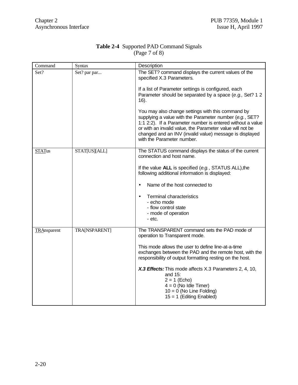| Command       | Syntax               | Description                                                                                                                                                                                                                                                                                                                      |
|---------------|----------------------|----------------------------------------------------------------------------------------------------------------------------------------------------------------------------------------------------------------------------------------------------------------------------------------------------------------------------------|
| Set?          | Set? par par         | The SET? command displays the current values of the<br>specified X.3 Parameters.                                                                                                                                                                                                                                                 |
|               |                      | If a list of Parameter settings is configured, each<br>Parameter should be separated by a space (e.g., Set? 1 2<br>$16$ ).                                                                                                                                                                                                       |
|               |                      | You may also change settings with this command by<br>supplying a value with the Parameter number (e.g., SET?<br>1:1 2:2). If a Parameter number is entered without a value<br>or with an invalid value, the Parameter value will not be<br>changed and an INV (invalid value) message is displayed<br>with the Parameter number. |
| <b>STATus</b> | STAT[US][ALL]        | The STATUS command displays the status of the current<br>connection and host name.                                                                                                                                                                                                                                               |
|               |                      | If the value ALL is specified (e.g., STATUS ALL), the<br>following additional information is displayed:                                                                                                                                                                                                                          |
|               |                      | Name of the host connected to                                                                                                                                                                                                                                                                                                    |
|               |                      | <b>Terminal characteristics</b><br>$\bullet$<br>- echo mode<br>- flow control state                                                                                                                                                                                                                                              |
|               |                      | - mode of operation<br>- etc.                                                                                                                                                                                                                                                                                                    |
| TRAnsparent   | <b>TRA[NSPARENT]</b> | The TRANSPARENT command sets the PAD mode of<br>operation to Transparent mode.                                                                                                                                                                                                                                                   |
|               |                      | This mode allows the user to define line-at-a-time<br>exchanges between the PAD and the remote host, with the<br>responsibility of output formatting resting on the host.                                                                                                                                                        |
|               |                      | X.3 Effects: This mode affects X.3 Parameters 2, 4, 10,<br>and 15:<br>$2 = 1$ (Echo)<br>$4 = 0$ (No Idle Timer)<br>$10 = 0$ (No Line Folding)<br>$15 = 1$ (Editing Enabled)                                                                                                                                                      |

#### **Table 2-4** Supported PAD Command Signals (Page 7 of 8)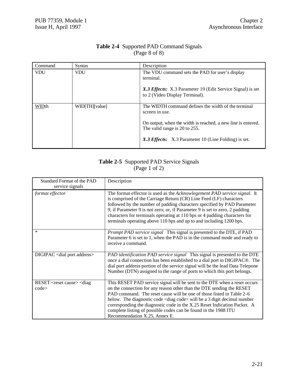| Command    | Syntax         | Description                                                                                                                                                                                                                    |
|------------|----------------|--------------------------------------------------------------------------------------------------------------------------------------------------------------------------------------------------------------------------------|
| <b>VDU</b> | <b>VDU</b>     | The VDU command sets the PAD for user's display<br>terminal.<br>X.3 Effects: X.3 Parameter 19 (Edit Service Signal) is set<br>to 2 (Video Display Terminal).                                                                   |
| WIDth      | WID[TH][value] | The WIDTH command defines the width of the terminal<br>screen in use.<br>On output, when the width is reached, a new line is entered.<br>The valid range is 20 to 255.<br>X.3 Effects: X.3 Parameter 10 (Line Folding) is set. |

#### **Table 2-4** Supported PAD Command Signals (Page 8 of 8)

#### **Table 2-5** Supported PAD Service Signals (Page 1 of 2)

| Standard Format of the PAD<br>service signals          | Description                                                                                                                                                                                                                                                                                                                                                                                                                                                                                         |
|--------------------------------------------------------|-----------------------------------------------------------------------------------------------------------------------------------------------------------------------------------------------------------------------------------------------------------------------------------------------------------------------------------------------------------------------------------------------------------------------------------------------------------------------------------------------------|
| format effector                                        | The format effector is used as the <i>Acknowlegement PAD service signal</i> . It<br>is comprised of the Carriage Return (CR) Line Feed (LF) characters<br>followed by the number of padding characters specified by PAD Parameter<br>9, if Parameter 9 is not zero; or, if Parameter 9 is set to zero, 2 padding<br>characters for terminals operating at 110 bps or 4 padding characters for<br>terminals operating above 110 bps and up to and including 1200 bps.                                |
| $\ast$                                                 | Prompt PAD service signal This signal is presented to the DTE, if PAD<br>Parameter 6 is set to 1, when the PAD is in the command mode and ready to<br>receive a command.                                                                                                                                                                                                                                                                                                                            |
| DIGIPAC <dial address="" port=""></dial>               | PAD identification PAD service signal This signal is presented to the DTE<br>once a dial connection has been established to a dial port in DIGIPAC <sup>®</sup> . The<br>dial port address portion of the service signal will be the lead Data Telepone<br>Number (DTN) assigned to the range of ports to which this port belongs.                                                                                                                                                                  |
| RESET <reset cause=""> <diag<br>code</diag<br></reset> | This RESET PAD service signal will be sent to the DTE when a reset occurs<br>on the connection for any reason other than the DTE sending the RESET<br>PAD command. The reset cause will be one of those listed in Table 2-6<br>below. The diagnostic code <diag code=""> will be a 3 digit decimal number<br/>corresponding the diagnostic code in the X.25 Reset Indication Packet. A<br/>complete listing of possible codes can be found in the 1988 ITU<br/>Recommendation X.25, Annex E.</diag> |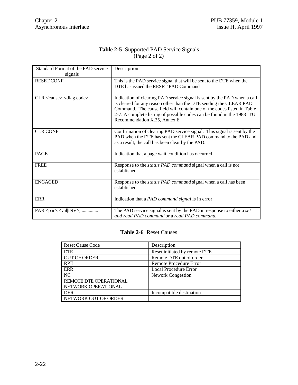|                        | <b>Table 2-5</b> Supported PAD Service Signals |
|------------------------|------------------------------------------------|
| $\angle$ (Page 2 of 2) |                                                |

| Standard Format of the PAD service<br>signals | Description                                                                                                                                                                                                                                                                                                                         |
|-----------------------------------------------|-------------------------------------------------------------------------------------------------------------------------------------------------------------------------------------------------------------------------------------------------------------------------------------------------------------------------------------|
| <b>RESET CONF</b>                             | This is the PAD service signal that will be sent to the DTE when the<br>DTE has issued the RESET PAD Command                                                                                                                                                                                                                        |
| $CLR <$ cause $>$ $<$ diag code $>$           | Indication of clearing PAD service signal is sent by the PAD when a call<br>is cleared for any reason other than the DTE sending the CLEAR PAD<br>Command. The cause field will contain one of the codes listed in Table<br>2-7. A complete listing of possible codes can be found in the 1988 ITU<br>Recommendation X.25, Annex E. |
| <b>CLR CONF</b>                               | Confirmation of clearing PAD service signal. This signal is sent by the<br>PAD when the DTE has sent the CLEAR PAD command to the PAD and,<br>as a result, the call has been clear by the PAD.                                                                                                                                      |
| <b>PAGE</b>                                   | Indication that a page wait condition has occurred.                                                                                                                                                                                                                                                                                 |
| <b>FREE</b>                                   | Response to the <i>status PAD command</i> signal when a call is not<br>established.                                                                                                                                                                                                                                                 |
| <b>ENGAGED</b>                                | Response to the <i>status PAD command</i> signal when a call has been<br>established.                                                                                                                                                                                                                                               |
| <b>ERR</b>                                    | Indication that a PAD command signal is in error.                                                                                                                                                                                                                                                                                   |
| PAR <par>:<val inv>, </val inv></par>         | The PAD service signal is sent by the PAD in response to either a set<br>and read PAD command or a read PAD command.                                                                                                                                                                                                                |

#### **Table 2-6** Reset Causes

| <b>Reset Cause Code</b> | Description                   |
|-------------------------|-------------------------------|
| <b>DTE</b>              | Reset initiated by remote DTE |
| <b>OUT OF ORDER</b>     | Remote DTE out of order       |
| <b>RPE</b>              | Remote Procedure Error        |
| ERR                     | Local Procedure Error         |
| NC                      | <b>Nework Congestion</b>      |
| REMOTE DTE OPERATIONAL  |                               |
| NETWORK OPERATIONAL     |                               |
| DER                     | Incompatible destination      |
| NETWORK OUT OF ORDER    |                               |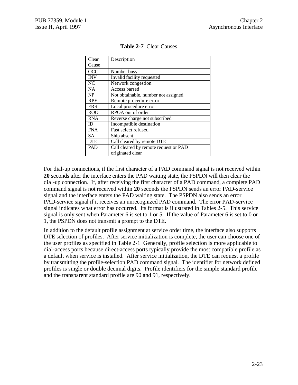| Clear      | Description                           |
|------------|---------------------------------------|
| Cause      |                                       |
| <b>OCC</b> | Number busy                           |
| <b>INV</b> | Invalid facility requested            |
| NC.        | Network congestion                    |
| <b>NA</b>  | Access barred                         |
| <b>NP</b>  | Not obtainable, number not assigned   |
| <b>RPE</b> | Remote procedure error                |
| ERR        | Local procedure error                 |
| <b>ROO</b> | RPOA out of order                     |
| <b>RNA</b> | Reverse charge not subscribed         |
| ID         | Incompatible destination              |
| <b>FNA</b> | Fast select refused                   |
| <b>SA</b>  | Ship absent                           |
| <b>DTE</b> | Call cleared by remote DTE            |
| <b>PAD</b> | Call cleared by remote request or PAD |
|            | originated clear                      |

**Table 2-7** Clear Causes

For dial-up connections, if the first character of a PAD command signal is not received within **20** seconds after the interface enters the PAD waiting state, the PSPDN will then clear the dial-up connection. If, after receiving the first character of a PAD command, a complete PAD command signal is not received within **20** seconds the PSPDN sends an error PAD-service signal and the interface enters the PAD waiting state. The PSPDN also sends an error PAD-service signal if it receives an unrecognized PAD command. The error PAD-service signal indicates what error has occurred. Its format is illustrated in Tables 2-5. This service signal is only sent when Parameter 6 is set to 1 or 5. If the value of Parameter 6 is set to 0 or 1, the PSPDN does not transmit a prompt to the DTE.

In addition to the default profile assignment at service order time, the interface also supports DTE selection of profiles. After service initialization is complete, the user can choose one of the user profiles as specified in Table 2-1 Generally, profile selection is more applicable to dial-access ports because direct-access ports typically provide the most compatible profile as a default when service is installed. After service initialization, the DTE can request a profile by transmitting the profile-selection PAD command signal. The identifier for network defined profiles is single or double decimal digits. Profile identifiers for the simple standard profile and the transparent standard profile are 90 and 91, respectively.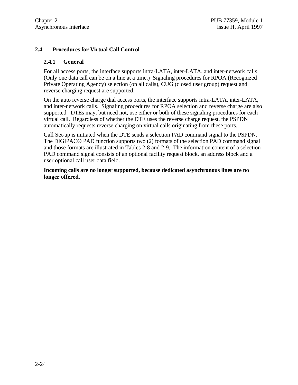#### **2.4 Procedures for Virtual Call Control**

#### **2.4.1 General**

For all access ports, the interface supports intra-LATA, inter-LATA, and inter-network calls. (Only one data call can be on a line at a time.) Signaling procedures for RPOA (Recognized Private Operating Agency) selection (on all calls), CUG (closed user group) request and reverse charging request are supported.

On the auto reverse charge dial access ports, the interface supports intra-LATA, inter-LATA, and inter-network calls. Signaling procedures for RPOA selection and reverse charge are also supported. DTEs may, but need not, use either or both of these signaling procedures for each virtual call. Regardless of whether the DTE uses the reverse charge request, the PSPDN automatically requests reverse charging on virtual calls originating from these ports.

Call Set-up is initiated when the DTE sends a selection PAD command signal to the PSPDN. The DIGIPAC® PAD function supports two (2) formats of the selection PAD command signal and those formats are illustrated in Tables 2-8 and 2-9. The information content of a selection PAD command signal consists of an optional facility request block, an address block and a user optional call user data field.

**Incoming calls are no longer supported, because dedicated asynchronous lines are no longer offered.**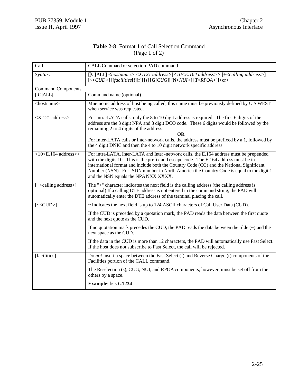#### **Table 2-8** Format 1 of Call Selection Command (Page 1 of 2)

| Call                               | CALL Command or selection PAD command                                                                                                                                                                                                                                                                                                                                                                                      |
|------------------------------------|----------------------------------------------------------------------------------------------------------------------------------------------------------------------------------------------------------------------------------------------------------------------------------------------------------------------------------------------------------------------------------------------------------------------------|
| Syntax:                            | $\left[\text{[C ALL]}<\text{hostname}> <\text{X}.121\text{ address}> <10<\text{E}.164\text{ address}>> +\text{scaling address}> \right]$<br>$\left[\sim\ll\!\!CUD\!\!>\right]$ [[facilities[f][r]] [s] [G[CUG]] [N <nui>] [T<rpoa>]]<cr></cr></rpoa></nui>                                                                                                                                                                 |
| <b>Command Components</b>          |                                                                                                                                                                                                                                                                                                                                                                                                                            |
| [ C ALL]                           | Command name (optional)                                                                                                                                                                                                                                                                                                                                                                                                    |
| <hostname></hostname>              | Mnemonic address of host being called, this name must be previously defined by U S WEST<br>when service was requested.                                                                                                                                                                                                                                                                                                     |
| <x.121 address=""></x.121>         | For intra-LATA calls, only the 8 to 10 digit address is required. The first 6 digits of the<br>address are the 3 digit NPA and 3 digit DCO code. These 6 digits would be followed by the<br>remaining 2 to 4 digits of the address.<br><b>OR</b><br>For Inter-LATA calls or Inter-network calls, the address must be prefixed by a 1, followed by<br>the 4 digit DNIC and then the 4 to 10 digit network specific address. |
| $<$ 10 $<$ E.164 address>>         | For intra-LATA, Inter-LATA and Inter-network calls, the E.164 address must be prepended<br>with the digits 10. This is the prefix and escape code. The E.164 address must be in<br>international format and include both the Country Code (CC) and the National Significant<br>Number (NSN). For ISDN number in North America the Country Code is equal to the digit 1<br>and the NSN equals the NPA NXX XXXX.             |
| [+ <calling address="">]</calling> | The "+" character indicates the next field is the calling address (the calling address is<br>optional) If a calling DTE address is not entered in the command string, the PAD will<br>automatically enter the DTE address of the terminal placing the call.                                                                                                                                                                |
| $[\sim$ CUD>]                      | ~ Indicates the next field is up to 124 ASCII characters of Call User Data (CUD).                                                                                                                                                                                                                                                                                                                                          |
|                                    | If the CUD is preceded by a quotation mark, the PAD reads the data between the first quote<br>and the next quote as the CUD.                                                                                                                                                                                                                                                                                               |
|                                    | If no quotation mark precedes the CUD, the PAD reads the data between the tilde $(\sim)$ and the<br>next space as the CUD.                                                                                                                                                                                                                                                                                                 |
|                                    | If the data in the CUD is more than 12 characters, the PAD will automatically use Fast Select.<br>If the host does not subscribe to Fast Select, the call will be rejected.                                                                                                                                                                                                                                                |
| [facilities]                       | Do not insert a space between the Fast Select (f) and Reverse Charge (r) components of the<br>Facilities portion of the CALL command.                                                                                                                                                                                                                                                                                      |
|                                    | The Reselection (s), CUG, NUI, and RPOA components, however, must be set off from the<br>others by a space.                                                                                                                                                                                                                                                                                                                |
|                                    | Example: fr s G1234                                                                                                                                                                                                                                                                                                                                                                                                        |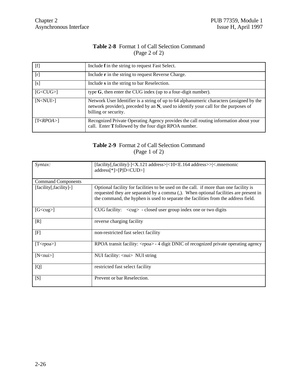#### **Table 2-8** Format 1 of Call Selection Command (Page 2 of 2)

| [f]             | Include f in the string to request Fast Select.                                                                                                                                                         |
|-----------------|---------------------------------------------------------------------------------------------------------------------------------------------------------------------------------------------------------|
| [r]             | Include <b>r</b> in the string to request Reverse Charge.                                                                                                                                               |
| [s]             | Include s in the string to bar Reselection.                                                                                                                                                             |
| $[G<$ CU $G$ >] | type $G$ , then enter the CUG index (up to a four-digit number).                                                                                                                                        |
| [N <nu1></nu1>  | Network User Identifier is a string of up to 64 alphanumeric characters (assigned by the<br>network provider), preceded by an N, used to identify your call for the purposes of<br>billing or security. |
| T < RPOA > 1    | Recognized Private Operating Agency provides the call routing information about your<br>call. Enter T followed by the four digit RPOA number.                                                           |

#### **Table 2-9** Format 2 of Call Selection Command (Page 1 of 2)

| Syntax:                   | $[facility], facility]$ - $\&$ .121 address> $\&$ 10 $\&$ .164 address>> $\&$ .mnemonic<br>$address[*] > [P D < CUD >]$                                                                                                                                             |
|---------------------------|---------------------------------------------------------------------------------------------------------------------------------------------------------------------------------------------------------------------------------------------------------------------|
| <b>Command Components</b> |                                                                                                                                                                                                                                                                     |
| [facility], facility]-]   | Optional facility for facilities to be used on the call. if more than one facility is<br>requested they are separated by a comma (,). When optional facilities are present in<br>the command, the hyphen is used to separate the facilities from the address field. |
| [G <cup>c</cup>           | CUG facility: $\langle cug \rangle$ - closed user group index one or two digits                                                                                                                                                                                     |
| [R]                       | reverse charging facility                                                                                                                                                                                                                                           |
| [F]                       | non-restricted fast select facility                                                                                                                                                                                                                                 |
| [ $T <$ rpoa>}            | RPOA transit facility: <rpoa> - 4 digit DNIC of recognized private operating agency</rpoa>                                                                                                                                                                          |
| [N <sub>min</sub> ]       | NUI facility: <nui> NUI string</nui>                                                                                                                                                                                                                                |
| [Q]                       | restricted fast select facility                                                                                                                                                                                                                                     |
| [S]                       | Prevent or bar Reselection.                                                                                                                                                                                                                                         |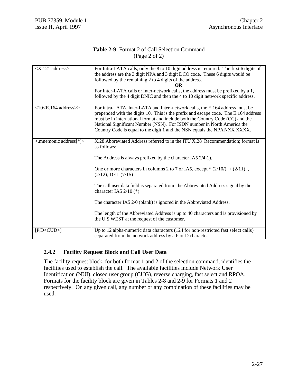#### **Table 2-9** Format 2 of Call Selection Command (Page 2 of 2)

| $ address>$                  | For Intra-LATA calls, only the 8 to 10 digit address is required. The first 6 digits of<br>the address are the 3 digit NPA and 3 digit DCO code. These 6 digits would be<br>followed by the remaining 2 to 4 digits of the address.<br><b>OR</b><br>For Inter-LATA calls or Inter-network calls, the address must be prefixed by a 1,<br>followed by the 4 digit DNIC and then the 4 to 10 digit network specific address.                                                                                                                                                                                 |
|------------------------------|------------------------------------------------------------------------------------------------------------------------------------------------------------------------------------------------------------------------------------------------------------------------------------------------------------------------------------------------------------------------------------------------------------------------------------------------------------------------------------------------------------------------------------------------------------------------------------------------------------|
| $<$ 10 $<$ E.164 address $>$ | For intra-LATA, Inter-LATA and Inter-network calls, the E.164 address must be<br>prepended with the digits 10. This is the prefix and escape code. The E.164 address<br>must be in international format and include both the Country Code (CC) and the<br>National Significant Number (NSN). For ISDN number in North America the<br>Country Code is equal to the digit 1 and the NSN equals the NPA NXX XXXX.                                                                                                                                                                                             |
| <.mnemonic address[*]>       | X.28 Abbreviated Address referred to in the ITU X.28 Recommendation; format is<br>as follows:<br>The Address is always prefixed by the character IA5 $2/4$ (.).<br>One or more characters in columns 2 to 7 or IA5, except $*(2/10/), + (2/11),$<br>$(2/12)$ , DEL $(7/15)$<br>The call user data field is separated from the Abbreviated Address signal by the<br>character IA5 $2/10$ (*).<br>The character IA5 2/0 (blank) is ignored in the Abbreviated Address.<br>The length of the Abbreviated Address is up to 40 characters and is provisioned by<br>the U S WEST at the request of the customer. |
| [P D < CUD>                  | Up to 12 alpha-numeric data characters (124 for non-restricted fast select calls)<br>separated from the network address by a P or D character.                                                                                                                                                                                                                                                                                                                                                                                                                                                             |

### **2.4.2 Facility Request Block and Call User Data**

The facility request block, for both format 1 and 2 of the selection command, identifies the facilities used to establish the call. The available facilities include Network User Identification (NUI), closed user group (CUG), reverse charging, fast select and RPOA. Formats for the facility block are given in Tables 2-8 and 2-9 for Formats 1 and 2 respectively. On any given call, any number or any combination of these facilities may be used.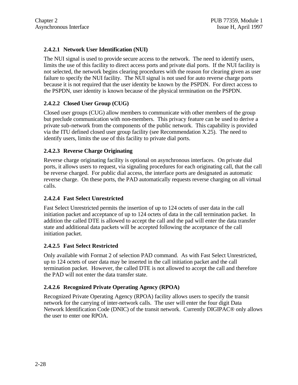# **2.4.2.1 Network User Identification (NUI)**

The NUI signal is used to provide secure access to the network. The need to identify users, limits the use of this facility to direct access ports and private dial ports. If the NUI facility is not selected, the network begins clearing procedures with the reason for clearing given as user failure to specify the NUI facility. The NUI signal is not used for auto reverse charge ports because it is not required that the user identity be known by the PSPDN. For direct access to the PSPDN, user identity is known because of the physical termination on the PSPDN.

# **2.4.2.2 Closed User Group (CUG)**

Closed user groups (CUG) allow members to communicate with other members of the group but preclude communication with non-members. This privacy feature can be used to derive a private sub-network from the components of the public network. This capability is provided via the ITU defined closed user group facility (see Recommendation X.25). The need to identify users, limits the use of this facility to private dial ports.

### **2.4.2.3 Reverse Charge Originating**

Reverse charge originating facility is optional on asynchronous interfaces. On private dial ports, it allows users to request, via signaling procedures for each originating call, that the call be reverse charged. For public dial access, the interface ports are designated as automatic reverse charge. On these ports, the PAD automatically requests reverse charging on all virtual calls.

### **2.4.2.4 Fast Select Unrestricted**

Fast Select Unrestricted permits the insertion of up to 124 octets of user data in the call initiation packet and acceptance of up to 124 octets of data in the call termination packet. In addition the called DTE is allowed to accept the call and the pad will enter the data transfer state and additional data packets will be accepted following the acceptance of the call initiation packet.

### **2.4.2.5 Fast Select Restricted**

Only available with Format 2 of selection PAD command. As with Fast Select Unrestricted, up to 124 octets of user data may be inserted in the call initiation packet and the call termination packet. However, the called DTE is not allowed to accept the call and therefore the PAD will not enter the data transfer state.

### **2.4.2.6 Recognized Private Operating Agency (RPOA)**

Recognized Private Operating Agency (RPOA) facility allows users to specify the transit network for the carrying of inter-network calls. The user will enter the four digit Data Network Identification Code (DNIC) of the transit network. Currently DIGIPAC® only allows the user to enter one RPOA.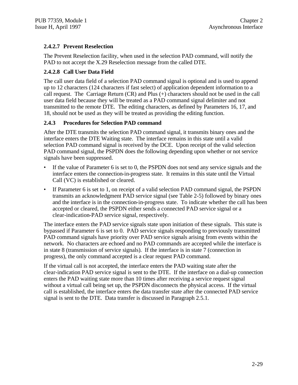# **2.4.2.7 Prevent Reselection**

The Prevent Reselection facility, when used in the selection PAD command, will notify the PAD to not accept the X.29 Reselection message from the called DTE.

### **2.4.2.8 Call User Data Field**

The call user data field of a selection PAD command signal is optional and is used to append up to 12 characters (124 characters if fast select) of application dependent information to a call request. The Carriage Return (CR) and Plus (+) characters should not be used in the call user data field because they will be treated as a PAD command signal delimiter and not transmitted to the remote DTE. The editing characters, as defined by Parameters 16, 17, and 18, should not be used as they will be treated as providing the editing function.

# **2.4.3 Procedures for Selection PAD command**

After the DTE transmits the selection PAD command signal, it transmits binary ones and the interface enters the DTE Waiting state. The interface remains in this state until a valid selection PAD command signal is received by the DCE. Upon receipt of the valid selection PAD command signal, the PSPDN does the following depending upon whether or not service signals have been suppressed.

- If the value of Parameter 6 is set to 0, the PSPDN does not send any service signals and the interface enters the connection-in-progress state. It remains in this state until the Virtual Call (VC) is established or cleared.
- If Parameter 6 is set to 1, on receipt of a valid selection PAD command signal, the PSPDN transmits an acknowledgment PAD service signal (see Table 2-5) followed by binary ones and the interface is in the connection-in-progress state. To indicate whether the call has been accepted or cleared, the PSPDN either sends a connected PAD service signal or a clear-indication-PAD service signal, respectively.

The interface enters the PAD service signals state upon initiation of these signals. This state is bypassed if Parameter 6 is set to 0. PAD service signals responding to previously transmitted PAD command signals have priority over PAD service signals arising from events within the network. No characters are echoed and no PAD commands are accepted while the interface is in state 8 (transmission of service signals). If the interface is in state 7 (connection in progress), the only command accepted is a clear request PAD command.

If the virtual call is not accepted, the interface enters the PAD waiting state after the clear-indication PAD service signal is sent to the DTE. If the interface on a dial-up connection enters the PAD waiting state more than 10 times after receiving a service request signal without a virtual call being set up, the PSPDN disconnects the physical access. If the virtual call is established, the interface enters the data transfer state after the connected PAD service signal is sent to the DTE. Data transfer is discussed in Paragraph 2.5.1.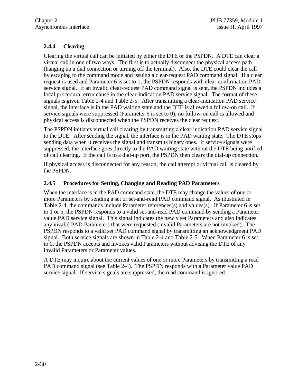# **2.4.4 Clearing**

Clearing the virtual call can be initiated by either the DTE or the PSPDN. A DTE can clear a virtual call in one of two ways. The first is to actually disconnect the physical access path (hanging up a dial connection or turning off the terminal). Also, the DTE could clear the call by escaping to the command mode and issuing a clear-request PAD command signal. If a clear request is used and Parameter 6 is set to 1, the PSPDN responds with clear-confirmation PAD service signal. If an invalid clear-request PAD command signal is sent, the PSPDN includes a local procedural error cause in the clear-indication PAD service signal. The format of these signals is given Table 2-4 and Table 2-5. After transmitting a clear-indication PAD service signal, the interface is in the PAD waiting state and the DTE is allowed a follow-on call. If service signals were suppressed (Parameter 6 is set to 0), no follow-on call is allowed and physical access is disconnected when the PSPDN receives the clear request.

The PSPDN initiates virtual call clearing by transmitting a clear-indication PAD service signal to the DTE. After sending the signal, the interface is in the PAD waiting state. The DTE stops sending data when it receives the signal and transmits binary ones. If service signals were suppressed, the interface goes directly to the PAD waiting state without the DTE being notified of call clearing. If the call is to a dial-up port, the PSPDN then clears the dial-up connection.

If physical access is disconnected for any reason, the call attempt or virtual call is cleared by the PSPDN.

# **2.4.5 Procedures for Setting, Changing and Reading PAD Parameters**

When the interface is in the PAD command state, the DTE may change the values of one or more Parameters by sending a set or set-and-read PAD command signal. As illustrated in Table 2-4, the commands include Parameter references(s) and values(s). If Parameter 6 is set to 1 or 5, the PSPDN responds to a valid set-and-read PAD command by sending a Parameter value PAD service signal. This signal indicates the newly set Parameters and also indicates any invalid PAD Parameters that were requested (invalid Parameters are not invoked). The PSPDN responds to a valid set PAD command signal by transmitting an acknowledgment PAD signal. Both service signals are shown in Table 2-4 and Table 2-5. When Parameter 6 is set to 0, the PSPDN accepts and invokes valid Parameters without advising the DTE of any invalid Parameters or Parameter values.

A DTE may inquire about the current values of one or more Parameters by transmitting a read PAD command signal (see Table 2-4). The PSPDN responds with a Parameter value PAD service signal. If service signals are suppressed, the read command is ignored.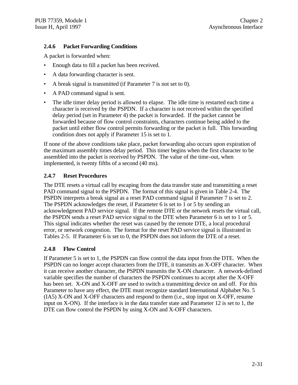# **2.4.6 Packet Forwarding Conditions**

A packet is forwarded when:

- Enough data to fill a packet has been received.
- A data forwarding character is sent.
- A break signal is transmitted (if Parameter 7 is not set to 0).
- A PAD command signal is sent.
- The idle timer delay period is allowed to elapse. The idle time is restarted each time a character is received by the PSPDN. If a character is not received within the specified delay period (set in Parameter 4) the packet is forwarded. If the packet cannot be forwarded because of flow control constraints, characters continue being added to the packet until either flow control permits forwarding or the packet is full. This forwarding condition does not apply if Parameter 15 is set to 1.

If none of the above conditions take place, packet forwarding also occurs upon expiration of the maximum assembly times delay period. This timer begins when the first character to be assembled into the packet is received by PSPDN. The value of the time-out, when implemented, is twenty fifths of a second (40 ms).

# **2.4.7 Reset Procedures**

The DTE resets a virtual call by escaping from the data transfer state and transmitting a reset PAD command signal to the PSPDN. The format of this signal is given in Table 2-4. The PSPDN interprets a break signal as a reset PAD command signal if Parameter 7 is set to 2. The PSPDN acknowledges the reset, if Parameter 6 is set to 1 or 5 by sending an acknowledgment PAD service signal. If the remote DTE or the network resets the virtual call, the PSPDN sends a reset PAD service signal to the DTE when Parameter 6 is set to 1 or 5. This signal indicates whether the reset was caused by the remote DTE, a local procedural error, or network congestion. The format for the reset PAD service signal is illustrated in Tables 2-5. If Parameter 6 is set to 0, the PSPDN does not inform the DTE of a reset.

### **2.4.8 Flow Control**

If Parameter 5 is set to 1, the PSPDN can flow control the data input from the DTE. When the PSPDN can no longer accept characters from the DTE, it transmits an X-OFF character. When it can receive another character, the PSPDN transmits the X-ON character. A network-defined variable specifies the number of characters the PSPDN continues to accept after the X-OFF has been set. X-ON and X-OFF are used to switch a transmitting device on and off. For this Parameter to have any effect, the DTE must recognize standard International Alphabet No. 5 (IA5) X-ON and X-OFF characters and respond to them (i.e., stop input on X-OFF, resume input on X-ON). If the interface is in the data transfer state and Parameter 12 is set to 1, the DTE can flow control the PSPDN by using X-ON and X-OFF characters.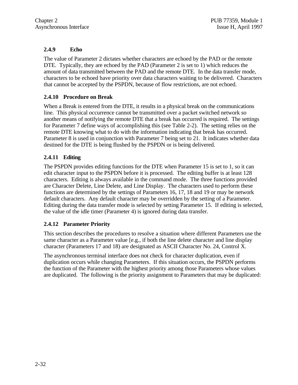# **2.4.9 Echo**

The value of Parameter 2 dictates whether characters are echoed by the PAD or the remote DTE. Typically, they are echoed by the PAD (Parameter 2 is set to 1) which reduces the amount of data transmitted between the PAD and the remote DTE. In the data transfer mode, characters to be echoed have priority over data characters waiting to be delivered. Characters that cannot be accepted by the PSPDN, because of flow restrictions, are not echoed.

# **2.4.10 Procedure on Break**

When a Break is entered from the DTE, it results in a physical break on the communications line. This physical occurrence cannot be transmitted over a packet switched network so another means of notifying the remote DTE that a break has occurred is required. The settings for Parameter 7 define ways of accomplishing this (see Table 2-2). The setting relies on the remote DTE knowing what to do with the information indicating that break has occurred. Parameter 8 is used in conjunction with Parameter 7 being set to 21. It indicates whether data destined for the DTE is being flushed by the PSPDN or is being delivered.

# **2.4.11 Editing**

The PSPDN provides editing functions for the DTE when Parameter 15 is set to 1, so it can edit character input to the PSPDN before it is processed. The editing buffer is at least 128 characters. Editing is always available in the command mode. The three functions provided are Character Delete, Line Delete, and Line Display. The characters used to perform these functions are determined by the settings of Parameters 16, 17, 18 and 19 or may be network default characters. Any default character may be overridden by the setting of a Parameter. Editing during the data transfer mode is selected by setting Parameter 15. If editing is selected, the value of the idle timer (Parameter 4) is ignored during data transfer.

### **2.4.12 Parameter Priority**

This section describes the procedures to resolve a situation where different Parameters use the same character as a Parameter value [e.g., if both the line delete character and line display character (Parameters 17 and 18) are designated as ASCII Character No. 24, Control X.

The asynchronous terminal interface does not check for character duplication, even if duplication occurs while changing Parameters. If this situation occurs, the PSPDN performs the function of the Parameter with the highest priority among those Parameters whose values are duplicated. The following is the priority assignment to Parameters that may be duplicated: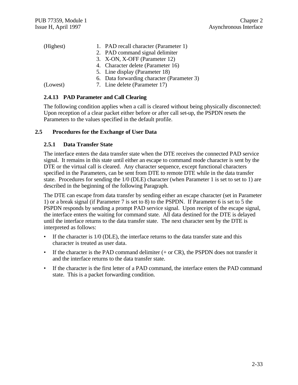| (Highest) | 1. PAD recall character (Parameter 1)      |
|-----------|--------------------------------------------|
|           | 2. PAD command signal delimiter            |
|           | 3. X-ON, X-OFF (Parameter 12)              |
|           | 4. Character delete (Parameter 16)         |
|           | 5. Line display (Parameter 18)             |
|           | 6. Data forwarding character (Parameter 3) |
| (Lowest)  | 7. Line delete (Parameter 17)              |

### **2.4.13 PAD Parameter and Call Clearing**

The following condition applies when a call is cleared without being physically disconnected: Upon reception of a clear packet either before or after call set-up, the PSPDN resets the Parameters to the values specified in the default profile.

### **2.5 Procedures for the Exchange of User Data**

#### **2.5.1 Data Transfer State**

The interface enters the data transfer state when the DTE receives the connected PAD service signal. It remains in this state until either an escape to command mode character is sent by the DTE or the virtual call is cleared. Any character sequence, except functional characters specified in the Parameters, can be sent from DTE to remote DTE while in the data transfer state. Procedures for sending the 1/0 (DLE) character (when Parameter 1 is set to set to 1) are described in the beginning of the following Paragraph.

The DTE can escape from data transfer by sending either an escape character (set in Parameter 1) or a break signal (if Parameter 7 is set to 8) to the PSPDN. If Parameter 6 is set to 5 the PSPDN responds by sending a prompt PAD service signal. Upon receipt of the escape signal, the interface enters the waiting for command state. All data destined for the DTE is delayed until the interface returns to the data transfer state. The next character sent by the DTE is interpreted as follows:

- If the character is  $1/0$  (DLE), the interface returns to the data transfer state and this character is treated as user data.
- If the character is the PAD command delimiter  $(+$  or CR), the PSPDN does not transfer it and the interface returns to the data transfer state.
- If the character is the first letter of a PAD command, the interface enters the PAD command state. This is a packet forwarding condition.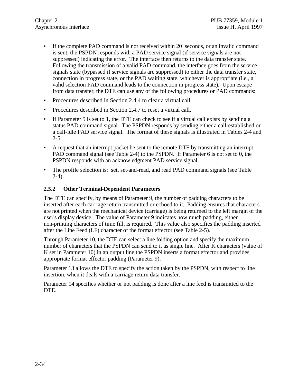- If the complete PAD command is not received within 20 seconds, or an invalid command is sent, the PSPDN responds with a PAD service signal (if service signals are not suppressed) indicating the error. The interface then returns to the data transfer state. Following the transmission of a valid PAD command, the interface goes from the service signals state (bypassed if service signals are suppressed) to either the data transfer state, connection in progress state, or the PAD waiting state, whichever is appropriate (i.e., a valid selection PAD command leads to the connection in progress state). Upon escape from data transfer, the DTE can use any of the following procedures or PAD commands:
- Procedures described in Section 2.4.4 to clear a virtual call.
- Procedures described in Section 2.4.7 to reset a virtual call.
- If Parameter 5 is set to 1, the DTE can check to see if a virtual call exists by sending a status PAD command signal. The PSPDN responds by sending either a call-established or a call-idle PAD service signal. The format of these signals is illustrated in Tables 2-4 and  $2 - 5$ .
- A request that an interrupt packet be sent to the remote DTE by transmitting an interrupt PAD command signal (see Table 2-4) to the PSPDN. If Parameter 6 is not set to 0, the PSPDN responds with an acknowledgment PAD service signal.
- The profile selection is: set, set-and-read, and read PAD command signals (see Table  $2-4$ ).

# **2.5.2 Other Terminal-Dependent Parameters**

The DTE can specify, by means of Parameter 9, the number of padding characters to be inserted after each carriage return transmitted or echoed to it. Padding ensures that characters are not printed when the mechanical device (carriage) is being returned to the left margin of the user's display device. The value of Parameter 9 indicates how much padding, either non-printing characters of time fill, is required. This value also specifies the padding inserted after the Line Feed (LF) character of the format effector (see Table 2-5).

Through Parameter 10, the DTE can select a line folding option and specify the maximum number of characters that the PSPDN can send to it as single line. After K characters (value of K set in Parameter 10) in an output line the PSPDN inserts a format effector and provides appropriate format effector padding (Parameter 9).

Parameter 13 allows the DTE to specify the action taken by the PSPDN, with respect to line insertion, when it deals with a carriage return data transfer.

Parameter 14 specifies whether or not padding is done after a line feed is transmitted to the DTE.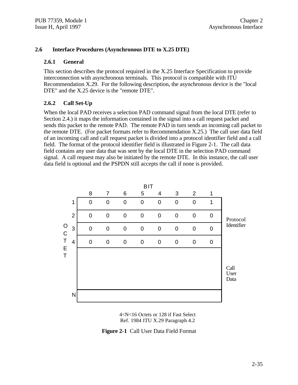#### **2.6 Interface Procedures (Asynchronous DTE to X.25 DTE)**

#### **2.6.1 General**

This section describes the protocol required in the X.25 Interface Specification to provide interconnection with asynchronous terminals. This protocol is compatible with ITU Recommendation X.29. For the following description, the asynchronous device is the "local DTE" and the X.25 device is the "remote DTE".

#### **2.6.2 Call Set-Up**

When the local PAD receives a selection PAD command signal from the local DTE (refer to Section 2.4.) it maps the information contained in the signal into a call request packet and sends this packet to the remote PAD. The remote PAD in turn sends an incoming call packet to the remote DTE. (For packet formats refer to Recommendation X.25.) The call user data field of an incoming call and call request packet is divided into a protocol identifier field and a call field. The format of the protocol identifier field is illustrated in Figure 2-1. The call data field contains any user data that was sent by the local DTE in the selection PAD command signal. A call request may also be initiated by the remote DTE. In this instance, the call user data field is optional and the PSPDN still accepts the call if none is provided.



4<N<16 Octets or 128 if Fast Select Ref. 1984 ITU X.29 Paragraph 4.2

**Figure 2-1** Call User Data Field Format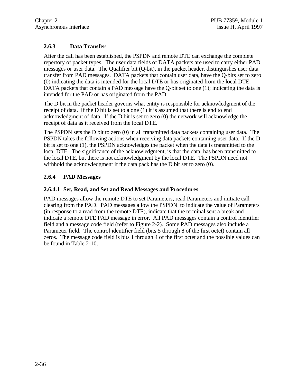# **2.6.3 Data Transfer**

After the call has been established, the PSPDN and remote DTE can exchange the complete repertory of packet types. The user data fields of DATA packets are used to carry either PAD messages or user data. The Qualifier bit (Q-bit), in the packet header, distinguishes user data transfer from PAD messages. DATA packets that contain user data, have the Q-bits set to zero (0) indicating the data is intended for the local DTE or has originated from the local DTE. DATA packets that contain a PAD message have the Q-bit set to one (1); indicating the data is intended for the PAD or has originated from the PAD.

The D bit in the packet header governs what entity is responsible for acknowledgment of the receipt of data. If the D bit is set to a one (1) it is assumed that there is end to end acknowledgment of data. If the D bit is set to zero (0) the network will acknowledge the receipt of data as it received from the local DTE.

The PSPDN sets the D bit to zero (0) in all transmitted data packets containing user data. The PSPDN takes the following actions when receiving data packets containing user data. If the D bit is set to one (1), the PSPDN acknowledges the packet when the data is transmitted to the local DTE. The significance of the acknowledgment, is that the data has been transmitted to the local DTE, but there is not acknowledgment by the local DTE. The PSPDN need not withhold the acknowledgment if the data pack has the D bit set to zero (0).

# **2.6.4 PAD Messages**

### **2.6.4.1 Set, Read, and Set and Read Messages and Procedures**

PAD messages allow the remote DTE to set Parameters, read Parameters and initiate call clearing from the PAD. PAD messages allow the PSPDN to indicate the value of Parameters (in response to a read from the remote DTE), indicate that the terminal sent a break and indicate a remote DTE PAD message in error. All PAD messages contain a control identifier field and a message code field (refer to Figure 2-2). Some PAD messages also include a Parameter field. The control identifier field (bits 5 through 8 of the first octet) contain all zeros. The message code field is bits 1 through 4 of the first octet and the possible values can be found in Table 2-10.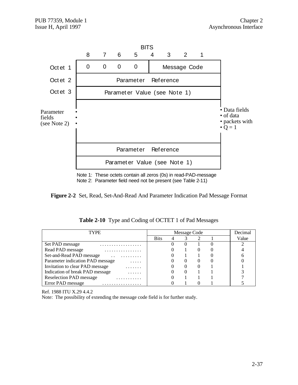

Note 1: These octets contain all zeros (0s) in read-PAD-message Note 2: Parameter field need not be present (see Table 2-11)



| TYPE                                       |             | Message Code |   | Decimal |
|--------------------------------------------|-------------|--------------|---|---------|
|                                            | <b>Bits</b> |              |   | Value   |
| Set PAD message<br>.                       |             |              |   |         |
| Read PAD message<br>.                      |             |              | 0 |         |
| Set-and-Read PAD message<br>$\cdot$ .<br>. |             |              |   |         |
| Parameter indication PAD message<br>.      |             |              | 0 |         |
| Invitation to clear PAD message<br>.       |             |              |   |         |
| Indication of break PAD message<br>.       |             |              |   |         |
| <b>Reselection PAD message</b>             |             |              |   |         |
| Error PAD message<br>.                     |             |              |   |         |

**Table 2-10** Type and Coding of OCTET 1 of Pad Messages

Ref. 1988 ITU X.29 4.4.2

Note: The possibility of extending the message code field is for further study.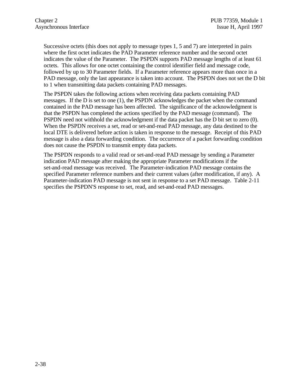Successive octets (this does not apply to message types 1, 5 and 7) are interpreted in pairs where the first octet indicates the PAD Parameter reference number and the second octet indicates the value of the Parameter. The PSPDN supports PAD message lengths of at least 61 octets. This allows for one octet containing the control identifier field and message code, followed by up to 30 Parameter fields. If a Parameter reference appears more than once in a PAD message, only the last appearance is taken into account. The PSPDN does not set the D bit to 1 when transmitting data packets containing PAD messages.

The PSPDN takes the following actions when receiving data packets containing PAD messages. If the  $D$  is set to one  $(1)$ , the PSPDN acknowledges the packet when the command contained in the PAD message has been affected. The significance of the acknowledgment is that the PSPDN has completed the actions specified by the PAD message (command). The PSPDN need not withhold the acknowledgment if the data packet has the D bit set to zero (0). When the PSPDN receives a set, read or set-and-read PAD message, any data destined to the local DTE is delivered before action is taken in response to the message. Receipt of this PAD message is also a data forwarding condition. The occurrence of a packet forwarding condition does not cause the PSPDN to transmit empty data packets.

The PSPDN responds to a valid read or set-and-read PAD message by sending a Parameter indication PAD message after making the appropriate Parameter modifications if the set-and-read message was received. The Parameter-indication PAD message contains the specified Parameter reference numbers and their current values (after modification, if any). A Parameter-indication PAD message is not sent in response to a set PAD message. Table 2-11 specifies the PSPDN'S response to set, read, and set-and-read PAD messages.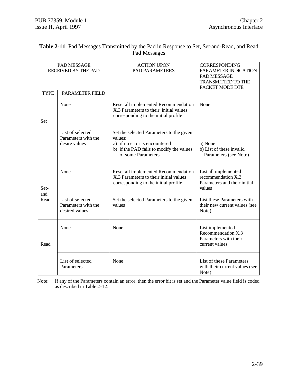|             | PAD MESSAGE<br>RECEIVED BY THE PAD                        | <b>ACTION UPON</b><br><b>PAD PARAMETERS</b>                                                                                                            | <b>CORRESPONDING</b><br>PARAMETER INDICATION<br>PAD MESSAGE<br><b>TRANSMITTED TO THE</b><br>PACKET MODE DTE |
|-------------|-----------------------------------------------------------|--------------------------------------------------------------------------------------------------------------------------------------------------------|-------------------------------------------------------------------------------------------------------------|
| <b>TYPE</b> | PARAMETER FIELD                                           |                                                                                                                                                        |                                                                                                             |
| Set         | None                                                      | Reset all implemented Recommendation<br>X.3 Parameters to their initial values<br>corresponding to the initial profile                                 | None                                                                                                        |
|             | List of selected<br>Parameters with the<br>desire values  | Set the selected Parameters to the given<br>values:<br>a) if no error is encountered<br>b) if the PAD fails to modify the values<br>of some Parameters | a) None<br>b) List of these invalid<br>Parameters (see Note)                                                |
| Set-        | None                                                      | Reset all implemented Recommendation<br>X.3 Parameters to their initial values<br>corresponding to the initial profile                                 | List all implemented<br>recommendation X.3<br>Parameters and their initial<br>values                        |
| and<br>Read | List of selected<br>Parameters with the<br>desired values | Set the selected Parameters to the given<br>values                                                                                                     | List these Parameters with<br>their new current values (see<br>Note)                                        |
| Read        | None                                                      | None                                                                                                                                                   | List implemented<br>Recommendation X.3<br>Parameters with their<br>current values                           |
|             | List of selected<br>Parameters                            | None                                                                                                                                                   | List of these Parameters<br>with their current values (see<br>Note)                                         |

#### **Table 2-11** Pad Messages Transmitted by the Pad in Response to Set, Set-and-Read, and Read Pad Messages

Note: If any of the Parameters contain an error, then the error bit is set and the Parameter value field is coded as described in Table 2-12.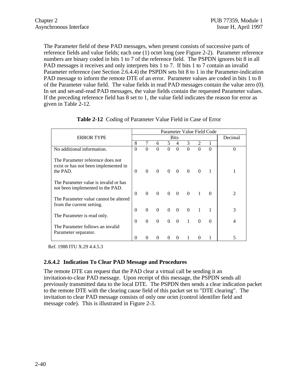The Parameter field of these PAD messages, when present consists of successive parts of reference fields and value fields; each one (1) octet long (see Figure 2-2). Parameter reference numbers are binary coded in bits 1 to 7 of the reference field. The PSPDN ignores bit 8 in all PAD messages it receives and only interprets bits 1 to 7. If bits 1 to 7 contain an invalid Parameter reference (see Section 2.6.4.4) the PSPDN sets bit 8 to 1 in the Parameter-indication PAD message to inform the remote DTE of an error. Parameter values are coded in bits 1 to 8 of the Parameter value field. The value fields in read PAD messages contain the value zero (0). In set and set-and-read PAD messages, the value fields contain the requested Parameter values. If the preceding reference field has 8 set to 1, the value field indicates the reason for error as given in Table 2-12.

|                                                                                      |          |          |                |             |                         |             |                             | Parameter Value Field Code |   |
|--------------------------------------------------------------------------------------|----------|----------|----------------|-------------|-------------------------|-------------|-----------------------------|----------------------------|---|
| <b>ERROR TYPE</b>                                                                    |          |          | Decimal        |             |                         |             |                             |                            |   |
|                                                                                      | 8        |          | 6              | 5.          | 4                       | 3           | $\mathcal{D}_{\mathcal{L}}$ |                            |   |
| No additional information.                                                           | $\theta$ | $\Omega$ | $\Omega$       | $\Omega$    | $\Omega$                | $\Omega$    | $\Omega$                    | $\Omega$                   | 0 |
| The Parameter reference does not<br>exist or has not been implemented in<br>the PAD. | $\Omega$ | $\Omega$ | $\Omega$       | $0 \quad 0$ |                         | $\Omega$    | $\Omega$                    |                            |   |
| The Parameter value is invalid or has<br>not been implemented in the PAD.            | $\Omega$ | $\Omega$ | $\overline{0}$ |             | $0 \quad 0$             |             | $0 \quad 1$                 |                            |   |
| The Parameter value cannot be altered<br>from the current setting.                   |          |          |                |             |                         |             |                             |                            |   |
|                                                                                      | $\Omega$ | $\Omega$ | $\Omega$       | $\Omega$    | $\overline{\mathbf{0}}$ | $\Omega$    |                             |                            | 3 |
| The Parameter is read only.                                                          |          |          |                |             |                         |             |                             |                            |   |
| The Parameter follows an invalid                                                     | $\Omega$ | $\Omega$ | $\theta$       |             | $0 \quad 0$             | $1 \quad 0$ |                             |                            |   |
| Parameter separator.                                                                 |          |          |                |             |                         |             |                             |                            |   |
|                                                                                      | 0        |          |                |             | $\Omega$                |             |                             |                            |   |

**Table 2-12** Coding of Parameter Value Field in Case of Error

Ref. 1988 ITU X.29 4.4.5.3

### **2.6.4.2 Indication To Clear PAD Message and Procedures**

The remote DTE can request that the PAD clear a virtual call be sending it an invitation-to-clear PAD message. Upon receipt of this message, the PSPDN sends all previously transmitted data to the local DTE. The PSPDN then sends a clear indication packet to the remote DTE with the clearing cause field of this packet set to "DTE clearing". The invitation to clear PAD message consists of only one octet (control identifier field and message code). This is illustrated in Figure 2-3.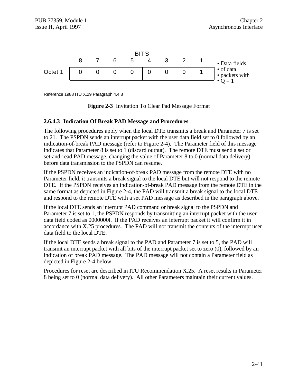

Reference 1988 ITU X.29 Paragraph 4.4.8



#### **2.6.4.3 Indication Of Break PAD Message and Procedures**

The following procedures apply when the local DTE transmits a break and Parameter 7 is set to 21. The PSPDN sends an interrupt packet with the user data field set to 0 followed by an indication-of-break PAD message (refer to Figure 2-4). The Parameter field of this message indicates that Parameter 8 is set to 1 (discard output). The remote DTE must send a set or set-and-read PAD message, changing the value of Parameter 8 to 0 (normal data delivery) before data transmission to the PSPDN can resume.

If the PSPDN receives an indication-of-break PAD message from the remote DTE with no Parameter field, it transmits a break signal to the local DTE but will not respond to the remote DTE. If the PSPDN receives an indication-of-break PAD message from the remote DTE in the same format as depicted in Figure 2-4, the PAD will transmit a break signal to the local DTE and respond to the remote DTE with a set PAD message as described in the paragraph above.

If the local DTE sends an interrupt PAD command or break signal to the PSPDN and Parameter 7 is set to 1, the PSPDN responds by transmitting an interrupt packet with the user data field coded as 0000000l. If the PAD receives an interrupt packet it will confirm it in accordance with X.25 procedures. The PAD will not transmit the contents of the interrupt user data field to the local DTE.

If the local DTE sends a break signal to the PAD and Parameter 7 is set to 5, the PAD will transmit an interrupt packet with all bits of the interrupt packet set to zero (0), followed by an indication of break PAD message. The PAD message will not contain a Parameter field as depicted in Figure 2-4 below.

Procedures for reset are described in ITU Recommendation X.25. A reset results in Parameter 8 being set to 0 (normal data delivery). All other Parameters maintain their current values.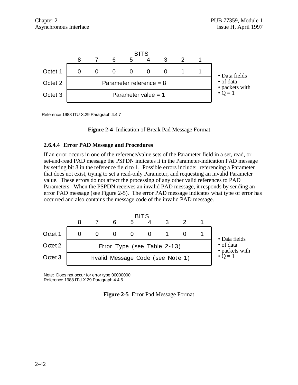

Reference 1988 ITU X.29 Paragraph 4.4.7

**Figure 2-4** Indication of Break Pad Message Format

#### **2.6.4.4 Error PAD Message and Procedures**

If an error occurs in one of the reference/value sets of the Parameter field in a set, read, or set-and-read PAD message the PSPDN indicates it in the Parameter-indication PAD message by setting bit 8 in the reference field to 1. Possible errors include: referencing a Parameter that does not exist, trying to set a read-only Parameter, and requesting an invalid Parameter value. These errors do not affect the processing of any other valid references to PAD Parameters. When the PSPDN receives an invalid PAD message, it responds by sending an error PAD message (see Figure 2-5). The error PAD message indicates what type of error has occurred and also contains the message code of the invalid PAD message.



Note: Does not occur for error type 00000000 Reference 1988 ITU X.29 Paragraph 4.4.6

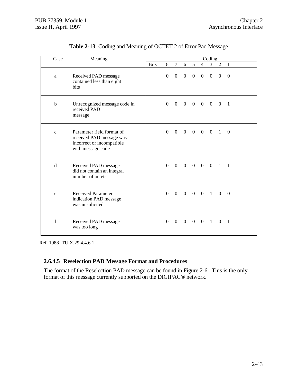| Case         | Meaning                                                                                                 |             |          |                |                |                |                | Coding                  |                 |                |  |
|--------------|---------------------------------------------------------------------------------------------------------|-------------|----------|----------------|----------------|----------------|----------------|-------------------------|-----------------|----------------|--|
|              |                                                                                                         | <b>Bits</b> | 8        | 7 <sup>7</sup> | 6              | 5 <sup>7</sup> |                | $4 \quad 3$             | $2 \quad 1$     |                |  |
| a            | Received PAD message<br>contained less than eight<br>bits                                               |             | $\Omega$ |                |                |                |                | $0 \t0 \t0 \t0 \t0$     | $\theta$        | $\theta$       |  |
| b            | Unrecognized message code in<br>received PAD<br>message                                                 |             | $\Omega$ |                |                |                |                | $0 \t0 \t0 \t0 \t0 \t0$ |                 | $\overline{1}$ |  |
| $\mathbf{C}$ | Parameter field format of<br>received PAD message was<br>incorrect or incompatible<br>with message code |             |          |                |                |                |                |                         | 0 0 0 0 0 0 1 0 |                |  |
| d            | Received PAD message<br>did not contain an integral<br>number of octets                                 |             |          |                |                |                |                |                         | 0 0 0 0 0 0 1 1 |                |  |
| e            | <b>Received Parameter</b><br>indication PAD message<br>was unsolicited                                  |             | $\theta$ | $\Omega$       |                |                |                | $0 \t0 \t0 \t1 \t0$     |                 | $\theta$       |  |
| $\mathbf f$  | Received PAD message<br>was too long                                                                    |             | $\theta$ | $\overline{0}$ | $\overline{0}$ | $\theta$       | $\overline{0}$ | $\overline{1}$          | $\theta$        | -1             |  |

**Table 2-13** Coding and Meaning of OCTET 2 of Error Pad Message

Ref. 1988 ITU X.29 4.4.6.1

# **2.6.4.5 Reselection PAD Message Format and Procedures**

The format of the Reselection PAD message can be found in Figure 2-6. This is the only format of this message currently supported on the DIGIPAC® network.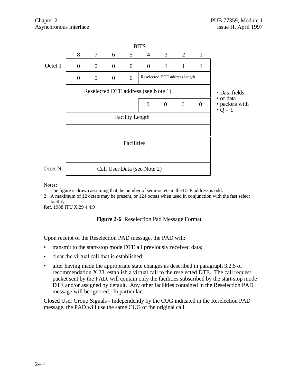

Notes:

- 1. The figure is drawn assuming that the number of semi-octets in the DTE address is odd.
- 2. A maximum of 12 octets may be present, or 124 octets when used in conjunction with the fast select facility.

Ref. 1988 ITU X.29 4.4.9

#### **Figure 2-6** Reselection Pad Message Format

Upon receipt of the Reselection PAD message, the PAD will:

- transmit to the start-stop mode DTE all previously received data;
- clear the virtual call that is established;
- after having made the appropriate state changes as described in paragraph 3.2.5 of recommendation X.28, establish a virtual call to the reselected DTE. The call request packet sent by the PAD, will contain only the facilities subscribed by the start-stop mode DTE and/or assigned by default. Any other facilities contained in the Reselection PAD message will be ignored. In particular:

Closed User Group Signals - Independently by the CUG indicated in the Reselection PAD message, the PAD will use the same CUG of the original call.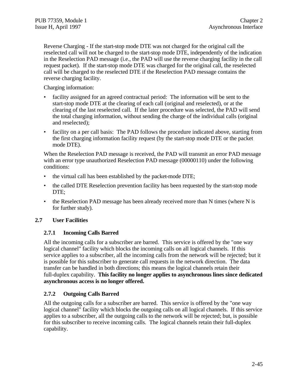Reverse Charging - If the start-stop mode DTE was not charged for the original call the reselected call will not be charged to the start-stop mode DTE, independently of the indication in the Reselection PAD message (i.e., the PAD will use the reverse charging facility in the call request packet). If the start-stop mode DTE was charged for the original call, the reselected call will be charged to the reselected DTE if the Reselection PAD message contains the reverse charging facility.

Charging information:

- facility assigned for an agreed contractual period: The information will be sent to the start-stop mode DTE at the clearing of each call (original and reselected), or at the clearing of the last reselected call. If the later procedure was selected, the PAD will send the total charging information, without sending the charge of the individual calls (original and reselected);
- facility on a per call basis: The PAD follows the procedure indicated above, starting from the first charging information facility request (by the start-stop mode DTE or the packet mode DTE).

When the Reselection PAD message is received, the PAD will transmit an error PAD message with an error type unauthorized Reselection PAD message (00000110) under the following conditions:

- the virtual call has been established by the packet-mode DTE;
- the called DTE Reselection prevention facility has been requested by the start-stop mode DTE:
- the Reselection PAD message has been already received more than N times (where N is for further study).

### **2.7 User Facilities**

#### **2.7.1 Incoming Calls Barred**

All the incoming calls for a subscriber are barred. This service is offered by the "one way logical channel" facility which blocks the incoming calls on all logical channels. If this service applies to a subscriber, all the incoming calls from the network will be rejected; but it is possible for this subscriber to generate call requests in the network direction. The data transfer can be handled in both directions; this means the logical channels retain their full-duplex capability. **This facility no longer applies to asynchronous lines since dedicated asynchronous access is no longer offered.**

### **2.7.2 Outgoing Calls Barred**

All the outgoing calls for a subscriber are barred. This service is offered by the "one way logical channel" facility which blocks the outgoing calls on all logical channels. If this service applies to a subscriber, all the outgoing calls to the network will be rejected; but, is possible for this subscriber to receive incoming calls. The logical channels retain their full-duplex capability.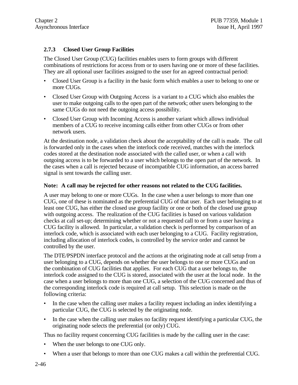# **2.7.3 Closed User Group Facilities**

The Closed User Group (CUG) facilities enables users to form groups with different combinations of restrictions for access from or to users having one or more of these facilities. They are all optional user facilities assigned to the user for an agreed contractual period:

- Closed User Group is a facility in the basic form which enables a user to belong to one or more CUGs.
- Closed User Group with Outgoing Access is a variant to a CUG which also enables the user to make outgoing calls to the open part of the network; other users belonging to the same CUGs do not need the outgoing access possibility.
- Closed User Group with Incoming Access is another variant which allows individual members of a CUG to receive incoming calls either from other CUGs or from other network users.

At the destination node, a validation check about the acceptability of the call is made. The call is forwarded only in the cases when the interlock code received, matches with the interlock codes stored at the destination node associated with the called user, or when a call with outgoing access is to be forwarded to a user which belongs to the open part of the network. In the cases when a call is rejected because of incompatible CUG information, an access barred signal is sent towards the calling user.

#### **Note: A call may be rejected for other reasons not related to the CUG facilities.**

A user may belong to one or more CUGs. In the case when a user belongs to more than one CUG, one of these is nominated as the preferential CUG of that user. Each user belonging to at least one CUG, has either the closed use group facility or one or both of the closed use group with outgoing access. The realization of the CUG facilities is based on various validation checks at call set-up; determining whether or not a requested call to or from a user having a CUG facility is allowed. In particular, a validation check is performed by comparison of an interlock code, which is associated with each user belonging to a CUG. Facility registration, including allocation of interlock codes, is controlled by the service order and cannot be controlled by the user.

The DTE/PSPDN interface protocol and the actions at the originating node at call setup from a user belonging to a CUG, depends on whether the user belongs to one or more CUGs and on the combination of CUG facilities that applies. For each CUG that a user belongs to, the interlock code assigned to the CUG is stored, associated with the user at the local node. In the case when a user belongs to more than one CUG, a selection of the CUG concerned and thus of the corresponding interlock code is required at call setup. This selection is made on the following criteria:

- In the case when the calling user makes a facility request including an index identifying a particular CUG, the CUG is selected by the originating node.
- In the case when the calling user makes no facility request identifying a particular CUG, the originating node selects the preferential (or only) CUG.

Thus no facility request concerning CUG facilities is made by the calling user in the case:

- When the user belongs to one CUG only.
- When a user that belongs to more than one CUG makes a call within the preferential CUG.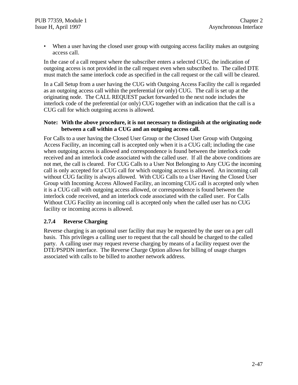• When a user having the closed user group with outgoing access facility makes an outgoing access call.

In the case of a call request where the subscriber enters a selected CUG, the indication of outgoing access is not provided in the call request even when subscribed to. The called DTE must match the same interlock code as specified in the call request or the call will be cleared.

In a Call Setup from a user having the CUG with Outgoing Access Facility the call is regarded as an outgoing access call within the preferential (or only) CUG. The call is set up at the originating node. The CALL REQUEST packet forwarded to the next node includes the interlock code of the preferential (or only) CUG together with an indication that the call is a CUG call for which outgoing access is allowed.

#### **Note: With the above procedure, it is not necessary to distinguish at the originating node between a call within a CUG and an outgoing access call.**

For Calls to a user having the Closed User Group or the Closed User Group with Outgoing Access Facility, an incoming call is accepted only when it is a CUG call; including the case when outgoing access is allowed and correspondence is found between the interlock code received and an interlock code associated with the called user. If all the above conditions are not met, the call is cleared. For CUG Calls to a User Not Belonging to Any CUG the incoming call is only accepted for a CUG call for which outgoing access is allowed. An incoming call without CUG facility is always allowed. With CUG Calls to a User Having the Closed User Group with Incoming Access Allowed Facility, an incoming CUG call is accepted only when it is a CUG call with outgoing access allowed, or correspondence is found between the interlock code received, and an interlock code associated with the called user. For Calls Without CUG Facility an incoming call is accepted only when the called user has no CUG facility or incoming access is allowed.

### **2.7.4 Reverse Charging**

Reverse charging is an optional user facility that may be requested by the user on a per call basis. This privileges a calling user to request that the call should be charged to the called party. A calling user may request reverse charging by means of a facility request over the DTE/PSPDN interface. The Reverse Charge Option allows for billing of usage charges associated with calls to be billed to another network address.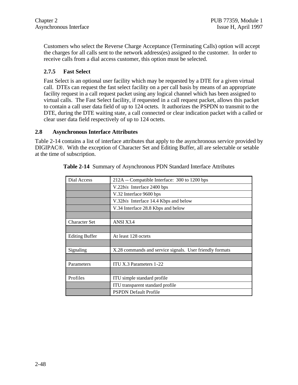Customers who select the Reverse Charge Acceptance (Terminating Calls) option will accept the charges for all calls sent to the network address(es) assigned to the customer. In order to receive calls from a dial access customer, this option must be selected.

### **2.7.5 Fast Select**

Fast Select is an optional user facility which may be requested by a DTE for a given virtual call. DTEs can request the fast select facility on a per call basis by means of an appropriate facility request in a call request packet using any logical channel which has been assigned to virtual calls. The Fast Select facility, if requested in a call request packet, allows this packet to contain a call user data field of up to 124 octets. It authorizes the PSPDN to transmit to the DTE, during the DTE waiting state, a call connected or clear indication packet with a called or clear user data field respectively of up to 124 octets.

#### **2.8 Asynchronous Interface Attributes**

Table 2-14 contains a list of interface attributes that apply to the asynchronous service provided by DIGIPAC®. With the exception of Character Set and Editing Buffer, all are selectable or setable at the time of subscription.

| Dial Access                        | 212A -- Compatible Interface: 300 to 1200 bps            |  |  |  |  |  |
|------------------------------------|----------------------------------------------------------|--|--|--|--|--|
|                                    | V.22bis Interface 2400 bps                               |  |  |  |  |  |
|                                    | V.32 Interface 9600 bps                                  |  |  |  |  |  |
|                                    | V.32bis Interface 14.4 Kbps and below                    |  |  |  |  |  |
| V.34 Interface 28.8 Kbps and below |                                                          |  |  |  |  |  |
|                                    |                                                          |  |  |  |  |  |
| <b>Character Set</b>               | ANSI X3.4                                                |  |  |  |  |  |
|                                    |                                                          |  |  |  |  |  |
| <b>Editing Buffer</b>              | At least 128 octets                                      |  |  |  |  |  |
|                                    |                                                          |  |  |  |  |  |
| Signaling                          | X.28 commands and service signals. User friendly formats |  |  |  |  |  |
|                                    |                                                          |  |  |  |  |  |
| Parameters                         | ITU X.3 Parameters 1-22                                  |  |  |  |  |  |
|                                    |                                                          |  |  |  |  |  |
| Profiles                           | ITU simple standard profile                              |  |  |  |  |  |
|                                    | ITU transparent standard profile                         |  |  |  |  |  |
|                                    | <b>PSPDN</b> Default Profile                             |  |  |  |  |  |

**Table 2-14** Summary of Asynchronous PDN Standard Interface Attributes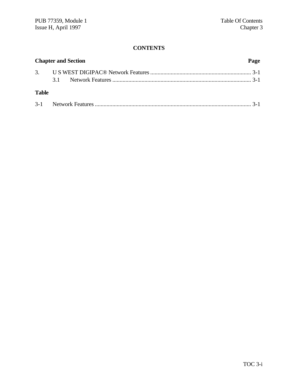# **CONTENTS**

| <b>Chapter and Section</b><br>Page |  |  |  |
|------------------------------------|--|--|--|
|                                    |  |  |  |
|                                    |  |  |  |
| <b>Table</b>                       |  |  |  |
|                                    |  |  |  |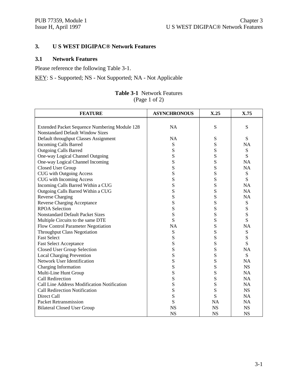# **3. U S WEST DIGIPAC® Network Features**

### **3.1 Network Features**

Please reference the following Table 3-1.

KEY: S - Supported; NS - Not Supported; NA - Not Applicable

#### **Table 3-1** Network Features (Page 1 of 2)

| <b>FEATURE</b>                                | <b>ASYNCHRONOUS</b> | X.25      | X.75      |
|-----------------------------------------------|---------------------|-----------|-----------|
|                                               |                     |           |           |
| Extended Packet Sequence Numbering Module 128 | <b>NA</b>           | S         | ${\bf S}$ |
| <b>Nonstandard Default Window Sizes</b>       |                     |           |           |
| Default throughput Classes Assignment         | <b>NA</b>           | S         | S         |
| <b>Incoming Calls Barred</b>                  | S                   | S         | <b>NA</b> |
| <b>Outgoing Calls Barred</b>                  | S                   | S         | S         |
| One-way Logical Channel Outgoing              | S                   | S         | S         |
| One-way Logical Channel Incoming              | S                   | S         | <b>NA</b> |
| Closed User Group                             | S                   | S         | <b>NA</b> |
| <b>CUG</b> with Outgoing Access               | S                   | S         | S         |
| CUG with Incoming Access                      | S                   | S         | S         |
| Incoming Calls Barred Within a CUG            | ${\bf S}$           | S         | <b>NA</b> |
| Outgoing Calls Barred Within a CUG            | S                   | S         | <b>NA</b> |
| <b>Reverse Charging</b>                       | ${\bf S}$           | S         | <b>NA</b> |
| <b>Reverse Charging Acceptance</b>            | S                   | S         | ${\bf S}$ |
| <b>RPOA Selection</b>                         | S                   | S         | S         |
| <b>Nonstandard Default Packet Sizes</b>       | S                   | S         | S         |
| Multiple Circuits to the same DTE             | S                   | S         | S         |
| Flow Control Parameter Negotiation            | <b>NA</b>           | S         | <b>NA</b> |
| <b>Throughput Class Negotiation</b>           | S                   | S         | S         |
| <b>Fast Select</b>                            | S                   | S         | S         |
| <b>Fast Select Acceptance</b>                 | ${\bf S}$           | S         | S         |
| <b>Closed User Group Selection</b>            | S                   | S         | <b>NA</b> |
| <b>Local Charging Prevention</b>              | ${\bf S}$           | S         | S         |
| Network User Identification                   | S                   | S         | <b>NA</b> |
| Charging Information                          | S                   | S         | <b>NS</b> |
| Multi-Line Hunt Group                         | ${\bf S}$           | S         | <b>NA</b> |
| <b>Call Redirection</b>                       | S                   | S         | <b>NA</b> |
| Call Line Address Modification Notification   | S                   | S         | <b>NA</b> |
| Call Redirection Notification                 | S                   | S         | <b>NS</b> |
| Direct Call                                   | S                   | S         | <b>NA</b> |
| <b>Packet Retransmission</b>                  | S                   | <b>NA</b> | <b>NA</b> |
| <b>Bilateral Closed User Group</b>            | <b>NS</b>           | <b>NS</b> | <b>NS</b> |
|                                               | <b>NS</b>           | <b>NS</b> | <b>NS</b> |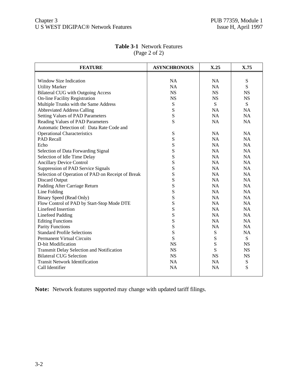| <b>FEATURE</b>                                    | <b>ASYNCHRONOUS</b> | X.25      | X.75      |
|---------------------------------------------------|---------------------|-----------|-----------|
|                                                   |                     |           |           |
| Window Size Indication                            | <b>NA</b>           | <b>NA</b> | S         |
| <b>Utility Marker</b>                             | <b>NA</b>           | <b>NA</b> | S         |
| <b>Bilateral CUG</b> with Outgoing Access         | <b>NS</b>           | <b>NS</b> | <b>NS</b> |
| <b>On-line Facility Registration</b>              | <b>NS</b>           | <b>NS</b> | <b>NS</b> |
| Multiple Trunks with the Same Address             | ${\bf S}$           | S         | S         |
| <b>Abbreviated Address Calling</b>                | S                   | <b>NA</b> | <b>NA</b> |
| <b>Setting Values of PAD Parameters</b>           | S                   | <b>NA</b> | <b>NA</b> |
| Reading Values of PAD Parameters                  | S                   | <b>NA</b> | <b>NA</b> |
| Automatic Detection of: Data Rate Code and        |                     |           |           |
| <b>Operational Characteristics</b>                | S                   | <b>NA</b> | <b>NA</b> |
| <b>PAD Recall</b>                                 | S                   | <b>NA</b> | <b>NA</b> |
| Echo                                              | S                   | <b>NA</b> | <b>NA</b> |
| Selection of Data Forwarding Signal               | S                   | <b>NA</b> | <b>NA</b> |
| Selection of Idle Time Delay                      | S                   | NA        | NA        |
| <b>Ancillary Device Control</b>                   | S                   | NA        | <b>NA</b> |
| Suppression of PAD Service Signals                | S                   | <b>NA</b> | <b>NA</b> |
| Selection of Operation of PAD on Receipt of Break | S                   | NA        | <b>NA</b> |
| <b>Discard Output</b>                             | S                   | <b>NA</b> | <b>NA</b> |
| Padding After Carriage Return                     | S                   | NA        | NA        |
| Line Folding                                      | S                   | <b>NA</b> | <b>NA</b> |
| <b>Binary Speed (Read Only)</b>                   | S                   | <b>NA</b> | <b>NA</b> |
| Flow Control of PAD by Start-Stop Mode DTE        | S                   | NA        | <b>NA</b> |
| Linefeed Insertion                                | S                   | <b>NA</b> | <b>NA</b> |
| <b>Linefeed Padding</b>                           | S                   | <b>NA</b> | NA        |
| <b>Editing Functions</b>                          | S                   | <b>NA</b> | <b>NA</b> |
| <b>Parity Functions</b>                           | S                   | NA.       | <b>NA</b> |
| <b>Standard Profile Selections</b>                | S                   | ${\bf S}$ | <b>NA</b> |
| <b>Permanent Virtual Circuits</b>                 | S                   | S         | S         |
| D-bit Modification                                | <b>NS</b>           | S         | <b>NS</b> |
| Transmit Delay Selection and Notification         | <b>NS</b>           | S         | <b>NS</b> |
| <b>Bilateral CUG Selection</b>                    | <b>NS</b>           | <b>NS</b> | <b>NS</b> |
| <b>Transit Network Identification</b>             | <b>NA</b>           | <b>NA</b> | ${\bf S}$ |
| Call Identifier                                   | <b>NA</b>           | <b>NA</b> | S         |
|                                                   |                     |           |           |

# **Table 3-1** Network Features (Page 2 of 2)

**Note:** Network features supported may change with updated tariff filings.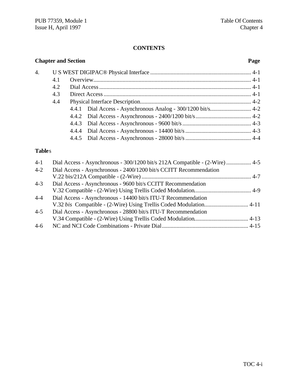# **CONTENTS**

|               |     | <b>Chapter and Section</b>                                                  | Page |
|---------------|-----|-----------------------------------------------------------------------------|------|
| 4.            |     |                                                                             |      |
|               | 4.1 |                                                                             |      |
|               | 4.2 |                                                                             |      |
|               | 4.3 |                                                                             |      |
|               | 4.4 |                                                                             |      |
|               |     | Dial Access - Asynchronous Analog - 300/1200 bit/s 4-2<br>4.4.1             |      |
|               |     | 4.4.2                                                                       |      |
|               |     | 4.4.3                                                                       |      |
|               |     | 4.4.4                                                                       |      |
|               |     | 4.4.5                                                                       |      |
| <b>Tables</b> |     |                                                                             |      |
| $4 - 1$       |     | Dial Access - Asynchronous - 300/1200 bit/s 212A Compatible - (2-Wire)  4-5 |      |
| $4 - 2$       |     | Dial Access - Asynchronous - 2400/1200 bit/s CCITT Recommendation           |      |
|               |     |                                                                             |      |
| $4 - 3$       |     | Dial Access - Asynchronous - 9600 bit/s CCITT Recommendation                |      |
|               |     |                                                                             |      |
| $4 - 4$       |     | Dial Access - Asynchronous - 14400 bit/s ITU-T Recommendation               |      |
|               |     | V.32 bis Compatible - (2-Wire) Using Trellis Coded Modulation 4-11          |      |
| $4 - 5$       |     | Dial Access - Asynchronous - 28800 bit/s ITU-T Recommendation               |      |
|               |     |                                                                             |      |

4-6 NC and NCI Code Combinations - Private Dial........................................................... 4-15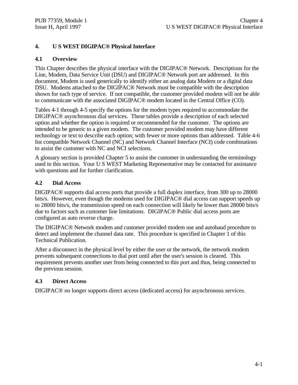# **4. U S WEST DIGIPAC® Physical Interface**

#### **4.1 Overview**

This Chapter describes the physical interface with the DIGIPAC® Network. Descriptions for the Line, Modem, Data Service Unit (DSU) and DIGIPAC® Network port are addressed. In this document, Modem is used generically to identify either an analog data Modem or a digital data DSU. Modems attached to the DIGIPAC® Network must be compatible with the description shown for each type of service. If not compatible, the customer provided modem will not be able to communicate with the associated DIGIPAC® modem located in the Central Office (CO).

Tables 4-1 through 4-5 specify the options for the modem types required to accommodate the DIGIPAC® asynchronous dial services. These tables provide a description of each selected option and whether the option is required or recommended for the customer. The options are intended to be generic to a given modem. The customer provided modem may have different technology or text to describe each option; with fewer or more options than addressed. Table 4-6 list compatible Network Channel (NC) and Network Channel Interface (NCI) code combinations to assist the customer with NC and NCI selections.

A glossary section is provided Chapter 5 to assist the customer in understanding the terminology used in this section. Your U S WEST Marketing Representative may be contacted for assistance with questions and for further clarification.

#### **4.2 Dial Access**

DIGIPAC® supports dial access ports that provide a full duplex interface, from 300 up to 28000 bits/s. However, even though the modems used for DIGIPAC® dial access can support speeds up to 28000 bits/s, the transmission speed on each connection will likely be lower than 28000 bits/s due to factors such as customer line limitations. DIGIPAC® Public dial access ports are configured as auto reverse charge.

The DIGIPAC® Network modem and customer provided modem use and autobaud procedure to detect and implement the channel data rate. This procedure is specified in Chapter 1 of this Technical Publication.

After a disconnect in the physical level by either the user or the network, the network modem prevents subsequent connections to dial port until after the user's session is cleared. This requirement prevents another user from being connected to this port and thus, being connected to the previous session.

#### **4.3 Direct Access**

DIGIPAC® no longer supports direct access (dedicated access) for asynchronous services.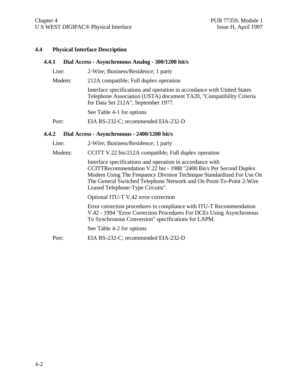#### **4.4 Physical Interface Description**

#### **4.4.1 Dial Access - Asynchronous Analog - 300/1200 bit/s**

| Line:  | 2-Wire; Business/Residence; 1 party                                                                                                                                                   |
|--------|---------------------------------------------------------------------------------------------------------------------------------------------------------------------------------------|
| Modem: | 212A compatible; Full duplex operation                                                                                                                                                |
|        | Interface specifications and operation in accordance with United States<br>Telephone Association (USTA) document TA20, "Compatibility Criteria<br>for Data Set 212A", September 1977. |
|        | See Table 4-1 for options                                                                                                                                                             |
| Port:  | EIA RS-232-C; recommended EIA-232-D                                                                                                                                                   |
|        |                                                                                                                                                                                       |

#### **4.4.2 Dial Access - Asynchronous - 2400/1200 bit/s**

- Line: 2-Wire; Business/Residence; 1 party
- Modem: CCITT V.22 bis/212A compatible; Full duplex operation

Interface specifications and operation in accordance with CCITTRecommendation V.22 bis - 1988 "2400 Bit/s Per Second Duplex Modem Using The Frequency Division Technique Standardized For Use On The General Switched Telephone Network and On Point-To-Point 2-Wire Leased Telephone-Type Circuits".

Optional ITU-T V.42 error correction

Error correction procedures in compliance with ITU-T Recommendation V.42 - 1994 "Error Correction Procedures For DCEs Using Asynchronous To Synchronous Conversion" specifications for LAPM.

See Table 4-2 for options

Port: EIA RS-232-C; recommended EIA-232-D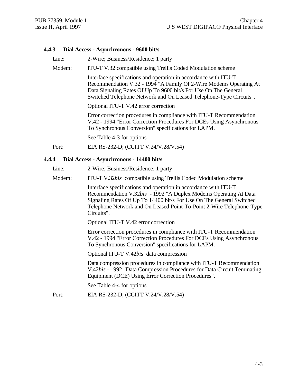#### **4.4.3 Dial Access - Asynchronous - 9600 bit/s**

Line: 2-Wire; Business/Residence; 1 party

Modem: ITU-T V.32 compatible using Trellis Coded Modulation scheme

Interface specifications and operation in accordance with ITU-T Recommendation V.32 - 1994 "A Family Of 2-Wire Modems Operating At Data Signaling Rates Of Up To 9600 bit/s For Use On The General Switched Telephone Network and On Leased Telephone-Type Circuits".

Optional ITU-T V.42 error correction

Error correction procedures in compliance with ITU-T Recommendation V.42 - 1994 "Error Correction Procedures For DCEs Using Asynchronous To Synchronous Conversion" specifications for LAPM.

See Table 4-3 for options

Port: EIA RS-232-D; (CCITT V.24/V.28/V.54)

#### **4.4.4 Dial Access - Asynchronous - 14400 bit/s**

Line: 2-Wire; Business/Residence; 1 party

Modem: ITU-T V.32*bis* compatible using Trellis Coded Modulation scheme

Interface specifications and operation in accordance with ITU-T Recommendation V.32*bis* - 1992 "A Duplex Modems Operating At Data Signaling Rates Of Up To 14400 bit/s For Use On The General Switched Telephone Network and On Leased Point-To-Point 2-Wire Telephone-Type Circuits".

Optional ITU-T V.42 error correction

Error correction procedures in compliance with ITU-T Recommendation V.42 - 1994 "Error Correction Procedures For DCEs Using Asynchronous To Synchronous Conversion" specifications for LAPM.

Optional ITU-T V.42*bis* data compression

Data compression procedures in compliance with ITU-T Recommendation V.42*bis* - 1992 "Data Compression Procedures for Data Circuit Teminating Equipment (DCE) Using Error Correction Procedures".

See Table 4-4 for options

Port: EIA RS-232-D; (CCITT V.24/V.28/V.54)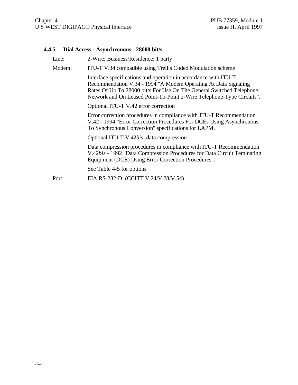# **4.4.5 Dial Access - Asynchronous - 28000 bit/s**

|  | Line:  | 2-Wire; Business/Residence; 1 party                                                                                                                                                                                                                                                 |
|--|--------|-------------------------------------------------------------------------------------------------------------------------------------------------------------------------------------------------------------------------------------------------------------------------------------|
|  | Modem: | ITU-T V.34 compatible using Trellis Coded Modulation scheme                                                                                                                                                                                                                         |
|  |        | Interface specifications and operation in accordance with ITU-T<br>Recommendation V.34 - 1994 "A Modem Operating At Data Signaling<br>Rates Of Up To 28000 bit/s For Use On The General Switched Telephone<br>Network and On Leased Point-To-Point 2-Wire Telephone-Type Circuits". |
|  |        | Optional ITU-T V.42 error correction                                                                                                                                                                                                                                                |
|  |        | Error correction procedures in compliance with ITU-T Recommendation<br>V.42 - 1994 "Error Correction Procedures For DCEs Using Asynchronous<br>To Synchronous Conversion" specifications for LAPM.                                                                                  |
|  |        | Optional ITU-T V.42bis data compression                                                                                                                                                                                                                                             |
|  |        | Data compression procedures in compliance with ITU-T Recommendation<br>V.42bis - 1992 "Data Compression Procedures for Data Circuit Teminating<br>Equipment (DCE) Using Error Correction Procedures".                                                                               |
|  |        | See Table 4-5 for options                                                                                                                                                                                                                                                           |
|  | Port:  | EIA RS-232-D; (CCITT V.24/V.28/V.54)                                                                                                                                                                                                                                                |
|  |        |                                                                                                                                                                                                                                                                                     |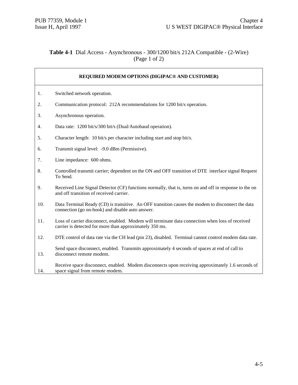#### **Table 4-1** Dial Access - Asynchronous - 300/1200 bit/s 212A Compatible - (2-Wire) (Page 1 of 2)

|     | REQUIRED MODEM OPTIONS (DIGIPAC® AND CUSTOMER)                                                                                                             |
|-----|------------------------------------------------------------------------------------------------------------------------------------------------------------|
| 1.  | Switched network operation.                                                                                                                                |
| 2.  | Communication protocol: 212A recommendations for 1200 bit/s operation.                                                                                     |
| 3.  | Asynchronous operation.                                                                                                                                    |
| 4.  | Data rate: 1200 bit/s/300 bit/s (Dual/Autobaud operation).                                                                                                 |
| 5.  | Character length: 10 bit/s per character including start and stop bit/s.                                                                                   |
| 6.  | Transmit signal level: -9.0 dBm (Permissive).                                                                                                              |
| 7.  | Line impedance: 600 ohms.                                                                                                                                  |
| 8.  | Controlled transmit carrier; dependent on the ON and OFF transition of DTE interface signal Request<br>To Send.                                            |
| 9.  | Received Line Signal Detector (CF) functions normally, that is, turns on and off in response to the on<br>and off transition of received carrier.          |
| 10. | Data Terminal Ready (CD) is transitive. An OFF transition causes the modem to disconnect the data<br>connection (go on-hook) and disable auto answer.      |
| 11. | Loss of carrier disconnect, enabled. Modem will terminate data connection when loss of received<br>carrier is detected for more than approximately 350 ms. |
| 12. | DTE control of data rate via the CH lead (pin 23), disabled. Terminal cannot control modem data rate.                                                      |
| 13. | Send space disconnect, enabled. Transmits approximately 4 seconds of spaces at end of call to<br>disconnect remote modem.                                  |
| 14. | Receive space disconnect, enabled. Modem disconnects upon receiving approximately 1.6 seconds of<br>space signal from remote modem.                        |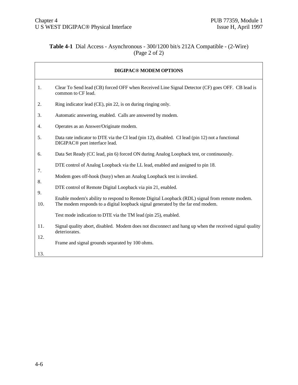$\overline{\phantom{a}}$ 

#### **Table 4-1** Dial Access - Asynchronous - 300/1200 bit/s 212A Compatible - (2-Wire) (Page 2 of 2)

|          | <b>DIGIPAC® MODEM OPTIONS</b>                                                                                                                                                   |
|----------|---------------------------------------------------------------------------------------------------------------------------------------------------------------------------------|
| 1.       | Clear To Send lead (CB) forced OFF when Received Line Signal Detector (CF) goes OFF. CB lead is<br>common to CF lead.                                                           |
| 2.       | Ring indicator lead (CE), pin 22, is on during ringing only.                                                                                                                    |
| 3.       | Automatic answering, enabled. Calls are answered by modem.                                                                                                                      |
| 4.       | Operates as an Answer/Originate modem.                                                                                                                                          |
| 5.       | Data rate indicator to DTE via the CI lead (pin 12), disabled. CI lead (pin 12) not a functional<br>DIGIPAC <sup>®</sup> port interface lead.                                   |
| 6.       | Data Set Ready (CC lead, pin 6) forced ON during Analog Loopback test, or continuously.                                                                                         |
|          | DTE control of Analog Loopback via the LL lead, enabled and assigned to pin 18.                                                                                                 |
| 7.<br>8. | Modem goes off-hook (busy) when an Analog Loopback test is invoked.                                                                                                             |
| 9.       | DTE control of Remote Digital Loopback via pin 21, enabled.                                                                                                                     |
| 10.      | Enable modem's ability to respond to Remote Digital Loopback (RDL) signal from remote modem.<br>The modem responds to a digital loopback signal generated by the far end modem. |
|          | Test mode indication to DTE via the TM lead (pin 25), enabled.                                                                                                                  |
| 11.      | Signal quality abort, disabled. Modem does not disconnect and hang up when the received signal quality<br>deteriorates.                                                         |
| 12.      | Frame and signal grounds separated by 100 ohms.                                                                                                                                 |
| 13.      |                                                                                                                                                                                 |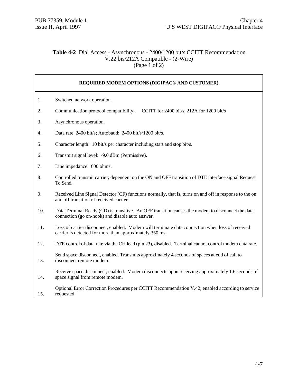15.

requested.

#### **Table 4-2** Dial Access - Asynchronous - 2400/1200 bit/s CCITT Recommendation V.22 bis/212A Compatible - (2-Wire) (Page 1 of 2)

#### **REQUIRED MODEM OPTIONS (DIGIPAC® AND CUSTOMER)** 1. 2. 3. 4. 5. 6. 7. 8. 9. 10. 11. 12. 13. 14. Switched network operation. Communication protocol compatibility: CCITT for 2400 bit/s, 212A for 1200 bit/s Asynchronous operation. Data rate 2400 bit/s; Autobaud: 2400 bit/s/1200 bit/s. Character length: 10 bit/s per character including start and stop bit/s. Transmit signal level: -9.0 dBm (Permissive). Line impedance: 600 ohms. Controlled transmit carrier; dependent on the ON and OFF transition of DTE interface signal Request To Send. Received Line Signal Detector (CF) functions normally, that is, turns on and off in response to the on and off transition of received carrier. Data Terminal Ready (CD) is transitive. An OFF transition causes the modem to disconnect the data connection (go on-hook) and disable auto answer. Loss of carrier disconnect, enabled. Modem will terminate data connection when loss of received carrier is detected for more than approximately 350 ms. DTE control of data rate via the CH lead (pin 23), disabled. Terminal cannot control modem data rate. Send space disconnect, enabled. Transmits approximately 4 seconds of spaces at end of call to disconnect remote modem. Receive space disconnect, enabled. Modem disconnects upon receiving approximately 1.6 seconds of space signal from remote modem. Optional Error Correction Procedures per CCITT Recommendation V.42, enabled according to service

4-7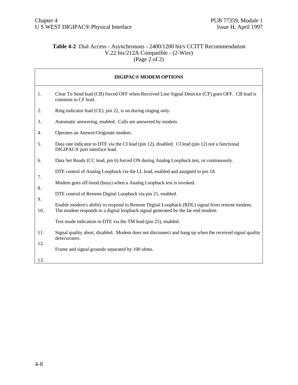#### **Table 4-2** Dial Access - Asynchronous - 2400/1200 bit/s CCITT Recommendation V.22 bis/212A Compatible - (2-Wire) (Page  $2 \text{ of } 2$ )

| <b>DIGIPAC® MODEM OPTIONS</b> |                                                                                                                                                                                 |  |
|-------------------------------|---------------------------------------------------------------------------------------------------------------------------------------------------------------------------------|--|
| 1.                            | Clear To Send lead (CB) forced OFF when Received Line Signal Detector (CF) goes OFF. CB lead is<br>common to CF lead.                                                           |  |
| 2.                            | Ring indicator lead (CE), pin 22, is on during ringing only.                                                                                                                    |  |
| 3.                            | Automatic answering, enabled. Calls are answered by modem.                                                                                                                      |  |
| 4.                            | Operates an Answer/Originate modem.                                                                                                                                             |  |
| 5.                            | Data rate indicator to DTE via the CI lead (pin 12), disabled. CI lead (pin 12) not a functional<br>DIGIPAC <sup>®</sup> port interface lead.                                   |  |
| 6.                            | Data Set Ready (CC lead, pin 6) forced ON during Analog Loopback test, or continuously.                                                                                         |  |
| 7.                            | DTE control of Analog Loopback via the LL lead, enabled and assigned to pin 18.                                                                                                 |  |
| 8.                            | Modem goes off-hood (busy) when a Analog Loopback test is invoked.                                                                                                              |  |
| 9.                            | DTE control of Remote Digital Loopback via pin 21, enabled.                                                                                                                     |  |
| 10.                           | Enable modem's ability to respond to Remote Digital Loopback (RDL) signal from remote modem.<br>The modem responds to a digital loopback signal generated by the far end modem. |  |
|                               | Test mode indication to DTE via the TM lead (pin 25), enabled.                                                                                                                  |  |
| 11.                           | Signal quality abort, disabled. Modem does not disconnect and hang up when the received signal quality<br>deteriorates.                                                         |  |
| 12.                           | Frame and signal grounds separated by 100 ohms.                                                                                                                                 |  |
| 13.                           |                                                                                                                                                                                 |  |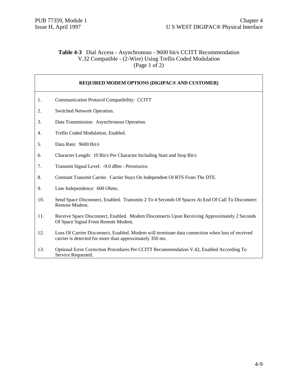$\Gamma$ 

٦

#### **Table 4-3** Dial Access - Asynchronous - 9600 bit/s CCITT Recommendation V.32 Compatible - (2-Wire) Using Trellis Coded Modulation  $(Page 1 of 2)$

|     | REQUIRED MODEM OPTIONS (DIGIPAC® AND CUSTOMER)                                                                                                             |
|-----|------------------------------------------------------------------------------------------------------------------------------------------------------------|
| 1.  | <b>Communication Protocol Compatibility: CCITT</b>                                                                                                         |
| 2.  | Switched Network Operation.                                                                                                                                |
| 3.  | Data Transmission: Asynchronous Operation.                                                                                                                 |
| 4.  | Trellis Coded Modulation, Enabled.                                                                                                                         |
| 5.  | Data Rate: 9600 Bit/s                                                                                                                                      |
| 6.  | Character Length: 10 Bit/s Per Character Including Start and Stop Bit/s                                                                                    |
| 7.  | Transmit Signal Level: -9.0 dBm - Permissive.                                                                                                              |
| 8.  | Constant Transmit Carrier. Carrier Stays On Independent Of RTS From The DTE.                                                                               |
| 9.  | Line Independence: 600 Ohms.                                                                                                                               |
| 10. | Send Space Disconnect, Enabled. Transmits 2 To 4 Seconds Of Spaces At End Of Call To Disconnect<br>Remote Modem.                                           |
| 11. | Receive Space Disconnect, Enabled. Modem Disconnects Upon Receiving Approximately 2 Seconds<br>Of Space Signal From Remote Modem.                          |
| 12. | Loss Of Carrier Disconnect, Enabled. Modem will terminate data connection when loss of received<br>carrier is detected for more than approximately 350 ms. |
| 13. | Optional Error Correction Procedures Per CCITT Recommendation V.42, Enabled According To<br>Service Requested.                                             |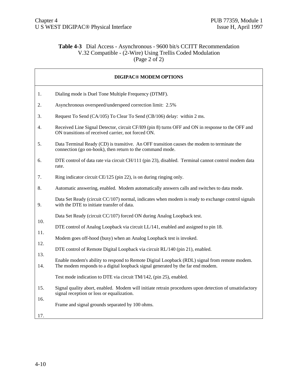# **Table 4-3** Dial Access - Asynchronous - 9600 bit/s CCITT Recommendation V.32 Compatible - (2-Wire) Using Trellis Coded Modulation  $(Page 2 of 2)$

|            | <b>DIGIPAC® MODEM OPTIONS</b>                                                                                                                            |
|------------|----------------------------------------------------------------------------------------------------------------------------------------------------------|
| 1.         | Dialing mode is Duel Tone Multiple Frequency (DTMF).                                                                                                     |
| 2.         | Asynchronous overspeed/underspeed correction limit: 2.5%                                                                                                 |
| 3.         | Request To Send (CA/105) To Clear To Send (CB/106) delay: within 2 ms.                                                                                   |
| 4.         | Received Line Signal Detector, circuit CF/109 (pin 8) turns OFF and ON in response to the OFF and<br>ON transitions of received carrier, not forced ON.  |
| 5.         | Data Terminal Ready (CD) is transitive. An OFF transition causes the modem to terminate the<br>connection (go on-hook), then return to the command mode. |
| 6.         | DTE control of data rate via circuit CH/111 (pin 23), disabled. Terminal cannot control modem data<br>rate.                                              |
| 7.         | Ring indicator circuit CE/125 (pin 22), is on during ringing only.                                                                                       |
| 8.         | Automatic answering, enabled. Modem automatically answers calls and switches to data mode.                                                               |
| 9.         | Data Set Ready (circuit CC/107) normal, indicates when modem is ready to exchange control signals<br>with the DTE to initiate transfer of data.          |
|            | Data Set Ready (circuit CC/107) forced ON during Analog Loopback test.                                                                                   |
| 10.        | DTE control of Analog Loopback via circuit LL/141, enabled and assigned to pin 18.                                                                       |
| 11.        | Modem goes off-hood (busy) when an Analog Loopback test is invoked.                                                                                      |
| 12.        | DTE control of Remote Digital Loopback via circuit RL/140 (pin 21), enabled.                                                                             |
| 13.        | Enable modem's ability to respond to Remote Digital Loopback (RDL) signal from remote modem.                                                             |
| 14.        | The modem responds to a digital loopback signal generated by the far end modem.                                                                          |
|            | Test mode indication to DTE via circuit TM/142, (pin 25), enabled.                                                                                       |
| 15.        | Signal quality abort, enabled. Modem will initiate retrain procedures upon detection of unsatisfactory<br>signal reception or loss or equalization.      |
| 16.<br>17. | Frame and signal grounds separated by 100 ohms.                                                                                                          |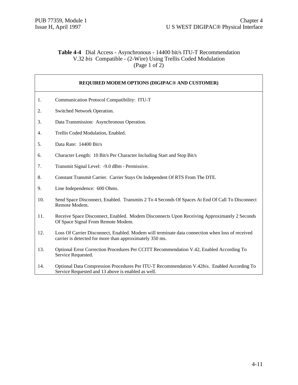## **Table 4-4** Dial Access - Asynchronous - 14400 bit/s ITU-T Recommendation V.32 *bis* Compatible - (2-Wire) Using Trellis Coded Modulation (Page 1 of  $2$ )

|     | REQUIRED MODEM OPTIONS (DIGIPAC® AND CUSTOMER)                                                                                                             |
|-----|------------------------------------------------------------------------------------------------------------------------------------------------------------|
| 1.  | Communication Protocol Compatibility: ITU-T                                                                                                                |
| 2.  | Switched Network Operation.                                                                                                                                |
| 3.  | Data Transmission: Asynchronous Operation.                                                                                                                 |
| 4.  | Trellis Coded Modulation, Enabled.                                                                                                                         |
| 5.  | Data Rate: 14400 Bit/s                                                                                                                                     |
| 6.  | Character Length: 10 Bit/s Per Character Including Start and Stop Bit/s                                                                                    |
| 7.  | Transmit Signal Level: -9.0 dBm - Permissive.                                                                                                              |
| 8.  | Constant Transmit Carrier. Carrier Stays On Independent Of RTS From The DTE.                                                                               |
| 9.  | Line Independence: 600 Ohms.                                                                                                                               |
| 10. | Send Space Disconnect, Enabled. Transmits 2 To 4 Seconds Of Spaces At End Of Call To Disconnect<br>Remote Modem.                                           |
| 11. | Receive Space Disconnect, Enabled. Modem Disconnects Upon Receiving Approximately 2 Seconds<br>Of Space Signal From Remote Modem.                          |
| 12. | Loss Of Carrier Disconnect, Enabled. Modem will terminate data connection when loss of received<br>carrier is detected for more than approximately 350 ms. |
| 13. | Optional Error Correction Procedures Per CCITT Recommendation V.42, Enabled According To<br>Service Requested.                                             |
| 14. | Optional Data Compression Procedures Per ITU-T Recommendation V.42bis. Enabled According To<br>Service Requested and 13 above is enabled as well.          |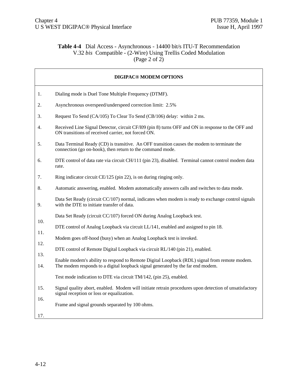# **Table 4-4** Dial Access - Asynchronous - 14400 bit/s ITU-T Recommendation V.32 *bis* Compatible - (2-Wire) Using Trellis Coded Modulation (Page 2 of  $2$ )

|            | <b>DIGIPAC® MODEM OPTIONS</b>                                                                                                                                                   |
|------------|---------------------------------------------------------------------------------------------------------------------------------------------------------------------------------|
| 1.         | Dialing mode is Duel Tone Multiple Frequency (DTMF).                                                                                                                            |
| 2.         | Asynchronous overspeed/underspeed correction limit: 2.5%                                                                                                                        |
| 3.         | Request To Send (CA/105) To Clear To Send (CB/106) delay: within 2 ms.                                                                                                          |
| 4.         | Received Line Signal Detector, circuit CF/109 (pin 8) turns OFF and ON in response to the OFF and<br>ON transitions of received carrier, not forced ON.                         |
| 5.         | Data Terminal Ready (CD) is transitive. An OFF transition causes the modem to terminate the<br>connection (go on-hook), then return to the command mode.                        |
| 6.         | DTE control of data rate via circuit CH/111 (pin 23), disabled. Terminal cannot control modem data<br>rate.                                                                     |
| 7.         | Ring indicator circuit CE/125 (pin 22), is on during ringing only.                                                                                                              |
| 8.         | Automatic answering, enabled. Modem automatically answers calls and switches to data mode.                                                                                      |
| 9.         | Data Set Ready (circuit CC/107) normal, indicates when modem is ready to exchange control signals<br>with the DTE to initiate transfer of data.                                 |
|            | Data Set Ready (circuit CC/107) forced ON during Analog Loopback test.                                                                                                          |
| 10.        | DTE control of Analog Loopback via circuit LL/141, enabled and assigned to pin 18.                                                                                              |
| 11.        | Modem goes off-hood (busy) when an Analog Loopback test is invoked.                                                                                                             |
| 12.        | DTE control of Remote Digital Loopback via circuit RL/140 (pin 21), enabled.                                                                                                    |
| 13.<br>14. | Enable modem's ability to respond to Remote Digital Loopback (RDL) signal from remote modem.<br>The modem responds to a digital loopback signal generated by the far end modem. |
|            | Test mode indication to DTE via circuit TM/142, (pin 25), enabled.                                                                                                              |
| 15.        | Signal quality abort, enabled. Modem will initiate retrain procedures upon detection of unsatisfactory<br>signal reception or loss or equalization.                             |
| 16.<br>17. | Frame and signal grounds separated by 100 ohms.                                                                                                                                 |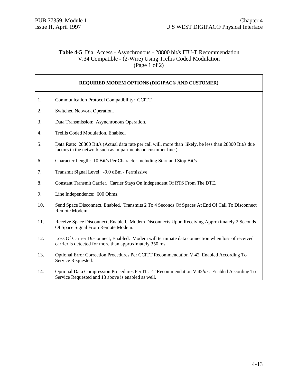#### **Table 4-5** Dial Access - Asynchronous - 28800 bit/s ITU-T Recommendation V.34 Compatible - (2-Wire) Using Trellis Coded Modulation (Page 1 of 2)

**REQUIRED MODEM OPTIONS (DIGIPAC® AND CUSTOMER)**

#### 1. 2. 3. 4. 5. 6. 7. 8. 9. 10. 11. Communication Protocol Compatibility: CCITT Switched Network Operation. Data Transmission: Asynchronous Operation. Trellis Coded Modulation, Enabled. Data Rate: 28800 Bit/s (Actual data rate per call will, more than likely, be less than 28800 Bit/s due factors in the network such as impairments on customer line.) Character Length: 10 Bit/s Per Character Including Start and Stop Bit/s Transmit Signal Level: -9.0 dBm - Permissive. Constant Transmit Carrier. Carrier Stays On Independent Of RTS From The DTE. Line Independence: 600 Ohms. Send Space Disconnect, Enabled. Transmits 2 To 4 Seconds Of Spaces At End Of Call To Disconnect Remote Modem. Receive Space Disconnect, Enabled. Modem Disconnects Upon Receiving Approximately 2 Seconds Of Space Signal From Remote Modem.

- 12. Loss Of Carrier Disconnect, Enabled. Modem will terminate data connection when loss of received carrier is detected for more than approximately 350 ms.
- 13. Optional Error Correction Procedures Per CCITT Recommendation V.42, Enabled According To Service Requested.
- 14. Optional Data Compression Procedures Per ITU-T Recommendation V.42*bis*. Enabled According To Service Requested and 13 above is enabled as well.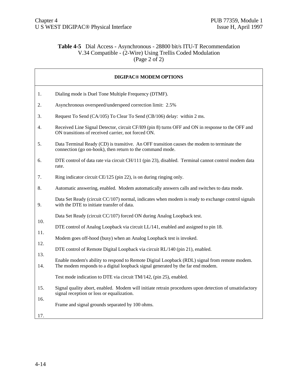# **Table 4-5** Dial Access - Asynchronous - 28800 bit/s ITU-T Recommendation V.34 Compatible - (2-Wire) Using Trellis Coded Modulation  $(Page 2 of 2)$

|            | <b>DIGIPAC® MODEM OPTIONS</b>                                                                                                                                                   |
|------------|---------------------------------------------------------------------------------------------------------------------------------------------------------------------------------|
| 1.         | Dialing mode is Duel Tone Multiple Frequency (DTMF).                                                                                                                            |
| 2.         | Asynchronous overspeed/underspeed correction limit: 2.5%                                                                                                                        |
| 3.         | Request To Send (CA/105) To Clear To Send (CB/106) delay: within 2 ms.                                                                                                          |
| 4.         | Received Line Signal Detector, circuit CF/109 (pin 8) turns OFF and ON in response to the OFF and<br>ON transitions of received carrier, not forced ON.                         |
| 5.         | Data Terminal Ready (CD) is transitive. An OFF transition causes the modem to terminate the<br>connection (go on-hook), then return to the command mode.                        |
| 6.         | DTE control of data rate via circuit CH/111 (pin 23), disabled. Terminal cannot control modem data<br>rate.                                                                     |
| 7.         | Ring indicator circuit CE/125 (pin 22), is on during ringing only.                                                                                                              |
| 8.         | Automatic answering, enabled. Modem automatically answers calls and switches to data mode.                                                                                      |
| 9.         | Data Set Ready (circuit CC/107) normal, indicates when modem is ready to exchange control signals<br>with the DTE to initiate transfer of data.                                 |
|            | Data Set Ready (circuit CC/107) forced ON during Analog Loopback test.                                                                                                          |
| 10.        | DTE control of Analog Loopback via circuit LL/141, enabled and assigned to pin 18.                                                                                              |
| 11.        | Modem goes off-hood (busy) when an Analog Loopback test is invoked.                                                                                                             |
| 12.        | DTE control of Remote Digital Loopback via circuit RL/140 (pin 21), enabled.                                                                                                    |
| 13.<br>14. | Enable modem's ability to respond to Remote Digital Loopback (RDL) signal from remote modem.<br>The modem responds to a digital loopback signal generated by the far end modem. |
|            | Test mode indication to DTE via circuit TM/142, (pin 25), enabled.                                                                                                              |
| 15.        | Signal quality abort, enabled. Modem will initiate retrain procedures upon detection of unsatisfactory<br>signal reception or loss or equalization.                             |
| 16.<br>17. | Frame and signal grounds separated by 100 ohms.                                                                                                                                 |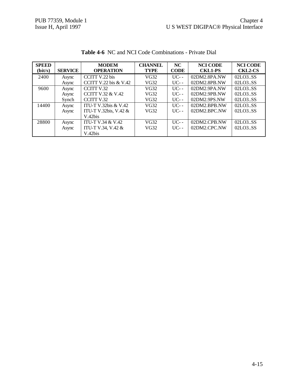| <b>SPEED</b><br>(bit/s) | <b>SERVICE</b> | <b>MODEM</b><br><b>OPERATION</b> | <b>CHANNEL</b><br><b>TYPE</b> | NC<br><b>CODE</b> | <b>NCI CODE</b><br><b>CKL1-PS</b> | <b>NCI CODE</b><br><b>CKL2-CS</b> |
|-------------------------|----------------|----------------------------------|-------------------------------|-------------------|-----------------------------------|-----------------------------------|
| 2400                    | Async          | CCITT V.22 bis                   | VG32                          | $UC - -$          | 02DM2.8PA.NW                      | 02LO3SS                           |
|                         | Async          | CCITT V.22 bis $&$ V.42          | VG32                          | $UC - -$          | 02DM2.8PB.NW                      | 02LO3SS                           |
| 9600                    | Async          | CCITT V.32                       | VG32                          | $UC - -$          | 02DM2.9PA.NW                      | 02LO3SS                           |
|                         | Async          | <b>CCITT V.32 &amp; V.42</b>     | VG32                          | $UC - -$          | 02DM2.9PB.NW                      | 02LO3SS                           |
|                         | Synch          | CCITT V.32                       | VG32                          | $UC$ --           | 02DM2.9PS.NW                      | 02LO3SS                           |
| 14400                   | Async          | ITU-T V.32bis $&$ V.42           | VG32                          | $\overline{UC}$ - | 02DM2.BPB.NW                      | 02LO3SS                           |
|                         | Async          | ITU-T V.32bis, V.42 &            | VG32                          | $UC - -$          | 02DM2.BPC.NW                      | 02LO3SS                           |
|                         |                | V.42bis                          |                               |                   |                                   |                                   |
| 28800                   | Async          | <b>ITU-T V.34 &amp; V.42</b>     | VG32                          | $\overline{UC}$ - | 02DM2.CPB.NW                      | 02LO3SS                           |
|                         | Async          | ITU-T V.34, V.42 &               | VG32                          | $UC - -$          | 02DM2.CPC.NW                      | 02LO3SS                           |
|                         |                | V.42bis                          |                               |                   |                                   |                                   |

**Table 4-6** NC and NCI Code Combinations - Private Dial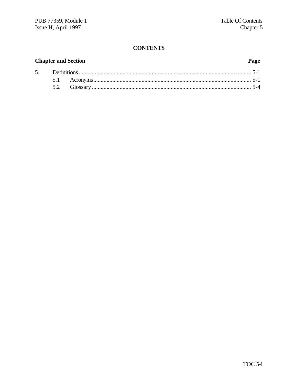# **CONTENTS**

# **Chapter and Section**

# Page

| 5. |  |  |
|----|--|--|
|    |  |  |
|    |  |  |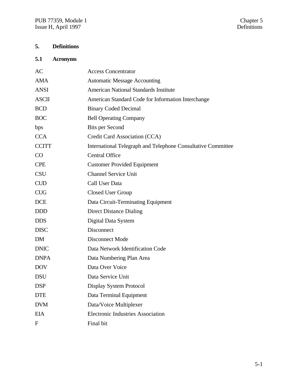# **5. Definitions**

# **5.1 Acronyms**

| AC           | <b>Access Concentrator</b>                                   |
|--------------|--------------------------------------------------------------|
| <b>AMA</b>   | <b>Automatic Message Accounting</b>                          |
| <b>ANSI</b>  | <b>American National Standards Institute</b>                 |
| <b>ASCII</b> | American Standard Code for Information Interchange           |
| <b>BCD</b>   | <b>Binary Coded Decimal</b>                                  |
| <b>BOC</b>   | <b>Bell Operating Company</b>                                |
| bps          | <b>Bits per Second</b>                                       |
| <b>CCA</b>   | Credit Card Association (CCA)                                |
| <b>CCITT</b> | International Telegraph and Telephone Consultative Committee |
| CO           | <b>Central Office</b>                                        |
| <b>CPE</b>   | <b>Customer Provided Equipment</b>                           |
| <b>CSU</b>   | <b>Channel Service Unit</b>                                  |
| <b>CUD</b>   | Call User Data                                               |
| <b>CUG</b>   | Closed User Group                                            |
| <b>DCE</b>   | Data Circuit-Terminating Equipment                           |
| <b>DDD</b>   | <b>Direct Distance Dialing</b>                               |
| <b>DDS</b>   | Digital Data System                                          |
| <b>DISC</b>  | Disconnect                                                   |
| <b>DM</b>    | Disconnect Mode                                              |
| <b>DNIC</b>  | Data Network Identification Code                             |
| <b>DNPA</b>  | Data Numbering Plan Area                                     |
| <b>DOV</b>   | Data Over Voice                                              |
| <b>DSU</b>   | Data Service Unit                                            |
| <b>DSP</b>   | Display System Protocol                                      |
| <b>DTE</b>   | Data Terminal Equipment                                      |
| <b>DVM</b>   | Data/Voice Multiplexer                                       |
| <b>EIA</b>   | <b>Electronic Industries Association</b>                     |
| F            | Final bit                                                    |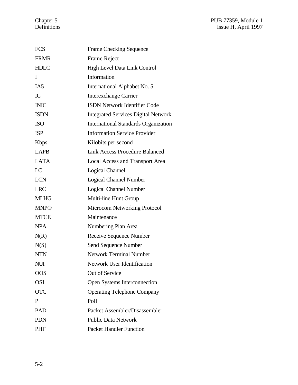| <b>FCS</b>      | <b>Frame Checking Sequence</b>              |
|-----------------|---------------------------------------------|
| <b>FRMR</b>     | Frame Reject                                |
| <b>HDLC</b>     | High Level Data Link Control                |
| I               | Information                                 |
| IA <sub>5</sub> | International Alphabet No. 5                |
| IC              | <b>Interexchange Carrier</b>                |
| <b>INIC</b>     | <b>ISDN Network Identifier Code</b>         |
| <b>ISDN</b>     | <b>Integrated Services Digital Network</b>  |
| <b>ISO</b>      | <b>International Standards Organization</b> |
| <b>ISP</b>      | <b>Information Service Provider</b>         |
| <b>K</b> bps    | Kilobits per second                         |
| <b>LAPB</b>     | <b>Link Access Procedure Balanced</b>       |
| <b>LATA</b>     | <b>Local Access and Transport Area</b>      |
| LC              | <b>Logical Channel</b>                      |
| <b>LCN</b>      | <b>Logical Channel Number</b>               |
| <b>LRC</b>      | <b>Logical Channel Number</b>               |
| <b>MLHG</b>     | Multi-line Hunt Group                       |
| <b>MNP®</b>     | <b>Microcom Networking Protocol</b>         |
| <b>MTCE</b>     | Maintenance                                 |
| <b>NPA</b>      | Numbering Plan Area                         |
| N(R)            | Receive Sequence Number                     |
| N(S)            | Send Sequence Number                        |
| <b>NTN</b>      | <b>Network Terminal Number</b>              |
| NUI             | Network User Identification                 |
| <b>OOS</b>      | Out of Service                              |
| <b>OSI</b>      | <b>Open Systems Interconnection</b>         |
| <b>OTC</b>      | <b>Operating Telephone Company</b>          |
| P               | Poll                                        |
| PAD             | Packet Assembler/Disassembler               |
| <b>PDN</b>      | <b>Public Data Network</b>                  |
| PHF             | <b>Packet Handler Function</b>              |
|                 |                                             |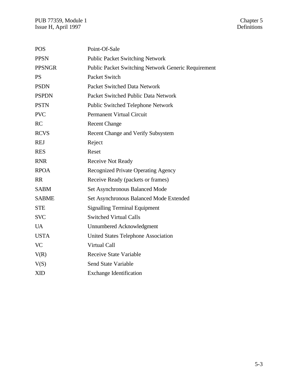| <b>POS</b>    | Point-Of-Sale                                              |
|---------------|------------------------------------------------------------|
| <b>PPSN</b>   | <b>Public Packet Switching Network</b>                     |
| <b>PPSNGR</b> | <b>Public Packet Switching Network Generic Requirement</b> |
| <b>PS</b>     | Packet Switch                                              |
| <b>PSDN</b>   | <b>Packet Switched Data Network</b>                        |
| <b>PSPDN</b>  | Packet Switched Public Data Network                        |
| <b>PSTN</b>   | Public Switched Telephone Network                          |
| <b>PVC</b>    | <b>Permanent Virtual Circuit</b>                           |
| RC            | <b>Recent Change</b>                                       |
| <b>RCVS</b>   | Recent Change and Verify Subsystem                         |
| <b>REJ</b>    | Reject                                                     |
| <b>RES</b>    | Reset                                                      |
| <b>RNR</b>    | <b>Receive Not Ready</b>                                   |
| <b>RPOA</b>   | Recognized Private Operating Agency                        |
| <b>RR</b>     | Receive Ready (packets or frames)                          |
| <b>SABM</b>   | Set Asynchronous Balanced Mode                             |
| <b>SABME</b>  | Set Asynchronous Balanced Mode Extended                    |
| <b>STE</b>    | <b>Signalling Terminal Equipment</b>                       |
| <b>SVC</b>    | <b>Switched Virtual Calls</b>                              |
| <b>UA</b>     | Unnumbered Acknowledgment                                  |
| <b>USTA</b>   | <b>United States Telephone Association</b>                 |
| <b>VC</b>     | Virtual Call                                               |
| V(R)          | <b>Receive State Variable</b>                              |
| V(S)          | <b>Send State Variable</b>                                 |
| <b>XID</b>    | <b>Exchange Identification</b>                             |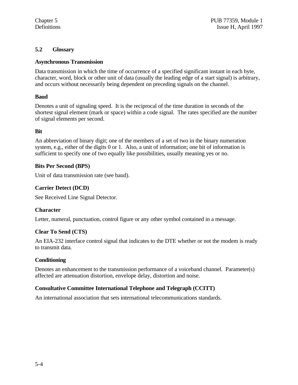# **5.2 Glossary**

# **Asynchronous Transmission**

Data transmission in which the time of occurrence of a specified significant instant in each byte, character, word, block or other unit of data (usually the leading edge of a start signal) is arbitrary, and occurs without necessarily being dependent on preceding signals on the channel.

# **Baud**

Denotes a unit of signaling speed. It is the reciprocal of the time duration in seconds of the shortest signal element (mark or space) within a code signal. The rates specified are the number of signal elements per second.

# **Bit**

An abbreviation of binary digit; one of the members of a set of two in the binary numeration system, e.g., either of the digits 0 or 1. Also, a unit of information; one bit of information is sufficient to specify one of two equally like possibilities, usually meaning yes or no.

# **Bits Per Second (BPS)**

Unit of data transmission rate (see baud).

# **Carrier Detect (DCD)**

See Received Line Signal Detector.

# **Character**

Letter, numeral, punctuation, control figure or any other symbol contained in a message.

# **Clear To Send (CTS)**

An EIA-232 interface control signal that indicates to the DTE whether or not the modem is ready to transmit data.

# **Conditioning**

Denotes an enhancement to the transmission performance of a voiceband channel. Parameter(s) affected are attenuation distortion, envelope delay, distortion and noise.

# **Consultative Committee International Telephone and Telegraph (CCITT)**

An international association that sets international telecommunications standards.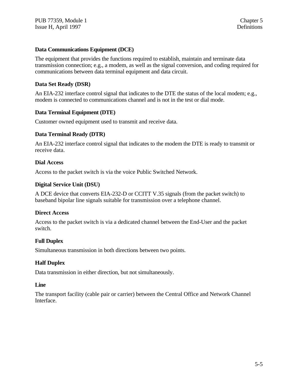# **Data Communications Equipment (DCE)**

The equipment that provides the functions required to establish, maintain and terminate data transmission connection; e.g., a modem, as well as the signal conversion, and coding required for communications between data terminal equipment and data circuit.

# **Data Set Ready (DSR)**

An EIA-232 interface control signal that indicates to the DTE the status of the local modem; e.g., modem is connected to communications channel and is not in the test or dial mode.

# **Data Terminal Equipment (DTE)**

Customer owned equipment used to transmit and receive data.

# **Data Terminal Ready (DTR)**

An EIA-232 interface control signal that indicates to the modem the DTE is ready to transmit or receive data.

# **Dial Access**

Access to the packet switch is via the voice Public Switched Network.

# **Digital Service Unit (DSU)**

A DCE device that converts EIA-232-D or CCITT V.35 signals (from the packet switch) to baseband bipolar line signals suitable for transmission over a telephone channel.

# **Direct Access**

Access to the packet switch is via a dedicated channel between the End-User and the packet switch.

# **Full Duplex**

Simultaneous transmission in both directions between two points.

# **Half Duplex**

Data transmission in either direction, but not simultaneously.

#### **Line**

The transport facility (cable pair or carrier) between the Central Office and Network Channel Interface.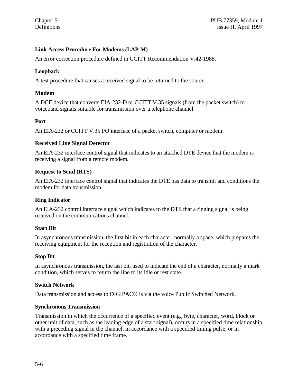# **Link Access Procedure For Modems (LAP-M)**

An error correction procedure defined in CCITT Recommendation V.42-1988.

# **Loopback**

A test procedure that causes a received signal to be returned to the source.

# **Modem**

A DCE device that converts EIA-232-D or CCITT V.35 signals (from the packet switch) to voiceband signals suitable for transmission over a telephone channel.

# **Port**

An EIA-232 or CCITT V.35 I/O interface of a packet switch, computer or modem.

# **Received Line Signal Detector**

An EIA-232 interface control signal that indicates to an attached DTE device that the modem is receiving a signal from a remote modem.

# **Request to Send (RTS)**

An EIA-232 interface control signal that indicates the DTE has data to transmit and conditions the modem for data transmission.

# **Ring Indicator**

An EIA-232 control interface signal which indicates to the DTE that a ringing signal is being received on the communications channel.

# **Start Bit**

In asynchronous transmission, the first bit in each character, normally a space, which prepares the receiving equipment for the reception and registration of the character.

# **Stop Bit**

In asynchronous transmission, the last bit, used to indicate the end of a character, normally a mark condition, which serves to return the line to its idle or rest state.

# **Switch Network**

Data transmission and access to DIGIPAC® is via the voice Public Switched Network.

# **Synchronous Transmission**

Transmission in which the occurrence of a specified event (e.g., byte, character, word, block or other unit of data, such as the leading edge of a start signal), occurs in a specified time relationship with a preceding signal in the channel, in accordance with a specified timing pulse, or in accordance with a specified time frame.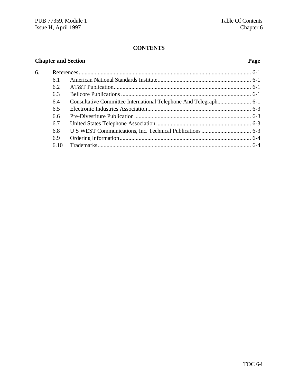# **CONTENTS**

# **Chapter and Section Page**

| б. |      |  |
|----|------|--|
|    | 6.1  |  |
|    | 6.2  |  |
|    | 6.3  |  |
|    | 6.4  |  |
|    | 6.5  |  |
|    | 6.6  |  |
|    | 6.7  |  |
|    | 6.8  |  |
|    | 6.9  |  |
|    | 6.10 |  |
|    |      |  |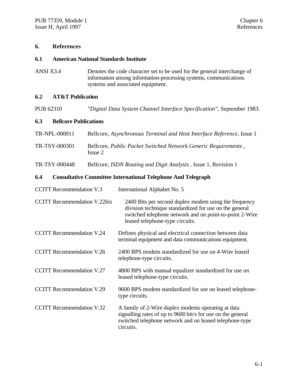# **6. References**

#### **6.1 American National Standards Institute**

ANSI X3.4 Denotes the code character set to be used for the general interchange of information among information-processing systems, communications systems and associated equipment.

# **6.2 AT&T Publication**

PUB 62310 *"Digital Data System Channel Interface Specification"*, September 1983.

# **6.3 Bellcore Publications**

| TR-NPL-000011 | Bellcore, Asynchronous Terminal and Host Interface Reference, Issue 1     |
|---------------|---------------------------------------------------------------------------|
| TR-TSY-000301 | Bellcore, Public Packet Switched Network Generic Requirements,<br>Issue 2 |

TR-TSY-000448 Bellcore, *ISDN Routing and Digit Analysis* , Issue 1, Revision 1

# **6.4 Consultative Committee International Telephone And Telegraph**

| <b>CCITT</b> Recommendation V.3     | International Alphabet No. 5                                                                                                                                                                                  |
|-------------------------------------|---------------------------------------------------------------------------------------------------------------------------------------------------------------------------------------------------------------|
| <b>CCITT Recommendation V.22bis</b> | 2400 Bits per second duplex modem using the frequency<br>division technique standardized for use on the general<br>switched telephone network and on point-to-point 2-Wire<br>leased telephone-type circuits. |
| <b>CCITT Recommendation V.24</b>    | Defines physical and electrical connection between data<br>terminal equipment and data communications equipment.                                                                                              |
| <b>CCITT Recommendation V.26</b>    | 2400 BPS modem standardized for use on 4-Wire leased<br>telephone-type circuits.                                                                                                                              |
| <b>CCITT</b> Recommendation V.27    | 4800 BPS with manual equalizer standardized for use on<br>leased telephone-type circuits.                                                                                                                     |
| <b>CCITT Recommendation V.29</b>    | 9600 BPS modem standardized for use on leased telephone-<br>type circuits.                                                                                                                                    |
| <b>CCITT Recommendation V.32</b>    | A family of 2-Wire duplex modems operating at data<br>signalling rates of up to 9600 bit/s for use on the general<br>switched telephone network and on leased telephone-type<br>circuits.                     |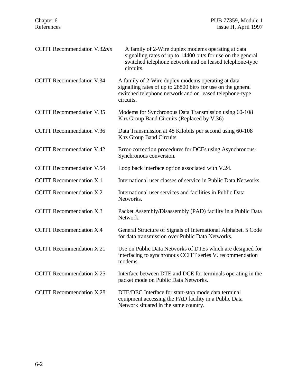| <b>CCITT</b> Recommendation V.32bis | A family of 2-Wire duplex modems operating at data<br>signalling rates of up to 14400 bit/s for use on the general<br>switched telephone network and on leased telephone-type<br>circuits. |
|-------------------------------------|--------------------------------------------------------------------------------------------------------------------------------------------------------------------------------------------|
| <b>CCITT Recommendation V.34</b>    | A family of 2-Wire duplex modems operating at data<br>signalling rates of up to 28800 bit/s for use on the general<br>switched telephone network and on leased telephone-type<br>circuits. |
| <b>CCITT Recommendation V.35</b>    | Modems for Synchronous Data Transmission using 60-108<br>Khz Group Band Circuits (Replaced by V.36)                                                                                        |
| <b>CCITT</b> Recommendation V.36    | Data Transmission at 48 Kilobits per second using 60-108<br><b>Khz Group Band Circuits</b>                                                                                                 |
| <b>CCITT Recommendation V.42</b>    | Error-correction procedures for DCEs using Asynchronous-<br>Synchronous conversion.                                                                                                        |
| <b>CCITT Recommendation V.54</b>    | Loop back interface option associated with V.24.                                                                                                                                           |
| <b>CCITT</b> Recommendation X.1     | International user classes of service in Public Data Networks.                                                                                                                             |
| <b>CCITT</b> Recommendation X.2     | International user services and facilities in Public Data<br>Networks.                                                                                                                     |
| <b>CCITT</b> Recommendation X.3     | Packet Assembly/Disassembly (PAD) facility in a Public Data<br>Network.                                                                                                                    |
| <b>CCITT Recommendation X.4</b>     | General Structure of Signals of International Alphabet. 5 Code<br>for data transmission over Public Data Networks.                                                                         |
| <b>CCITT Recommendation X.21</b>    | Use on Public Data Networks of DTEs which are designed for<br>interfacing to synchronous CCITT series V. recommendation<br>modems.                                                         |
| <b>CCITT</b> Recommendation X.25    | Interface between DTE and DCE for terminals operating in the<br>packet mode on Public Data Networks.                                                                                       |
| <b>CCITT</b> Recommendation X.28    | DTE/DEC Interface for start-stop mode data terminal<br>equipment accessing the PAD facility in a Public Data<br>Network situated in the same country.                                      |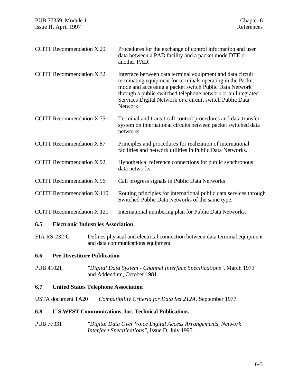| <b>CCITT Recommendation X.29</b>  | Procedures for the exchange of control information and user<br>data between a PAD facility and a packet mode DTE or<br>another PAD.                                                                                                                                                                                         |
|-----------------------------------|-----------------------------------------------------------------------------------------------------------------------------------------------------------------------------------------------------------------------------------------------------------------------------------------------------------------------------|
| <b>CCITT Recommendation X.32</b>  | Interface between data terminal equipment and data circuit<br>terminating equipment for terminals operating in the Packet<br>mode and accessing a packet switch Public Data Network<br>through a public switched telephone network or an Integrated<br>Services Digital Network or a circuit switch Public Data<br>Network. |
| <b>CCITT</b> Recommendation X.75  | Terminal and transit call control procedures and data transfer<br>system on international circuits between packet switched data<br>networks.                                                                                                                                                                                |
| <b>CCITT Recommendation X.87</b>  | Principles and procedures for realization of international<br>facilities and network utilities in Public Data Networks.                                                                                                                                                                                                     |
| <b>CCITT Recommendation X.92</b>  | Hypothetical reference connections for public synchronous<br>data networks.                                                                                                                                                                                                                                                 |
| <b>CCITT Recommendation X.96</b>  | Call progress signals in Public Data Networks                                                                                                                                                                                                                                                                               |
| <b>CCITT Recommendation X.110</b> | Routing principles for international public data services through<br>Switched Public Data Networks of the same type.                                                                                                                                                                                                        |
| <b>CCITT</b> Recommendation X.121 | International numbering plan for Public Data Networks.                                                                                                                                                                                                                                                                      |

# **6.5 Electronic Industries Association**

EIA RS-232-C Defines physical and electrical connection between data terminal equipment and data communications equipment.

# **6.6 Pre-Divestiture Publication**

PUB 41021 *"Digital Data System - Channel Interface Specifications"*, March 1973 and Addendum, October 1981

# **6.7 United States Telephone Association**

USTA document TA20 *Compatibility Criteria for Data Set 212A,* September 1977

#### **6.8 U S WEST Communications, Inc. Technical Publications**

PUB 77331 *"Digital Data Over Voice Digital Access Arrangements, Network Interface Specifications"*, Issue D, July 1995.